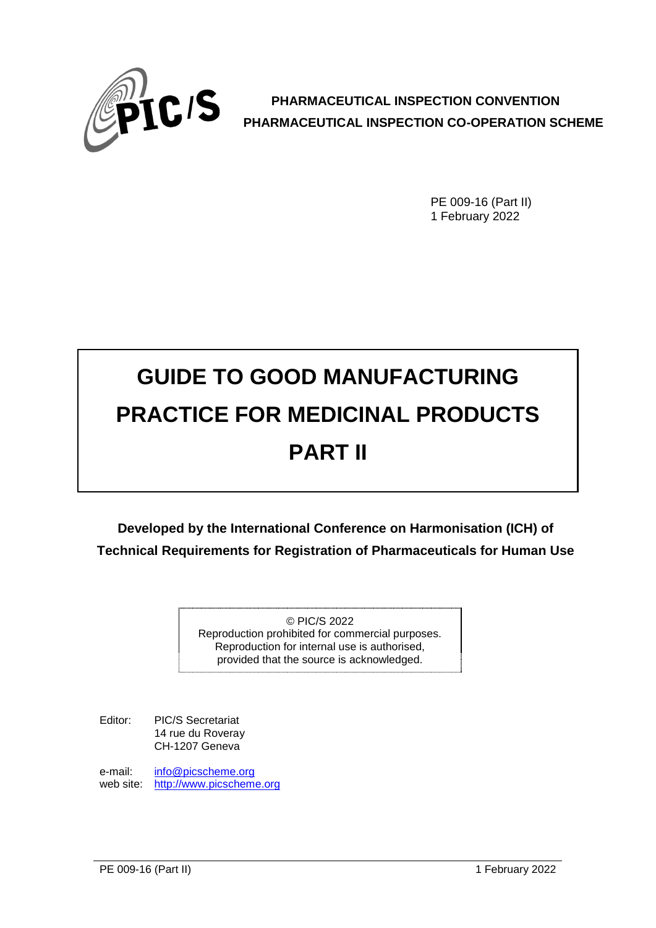

**PHARMACEUTICAL INSPECTION CONVENTION PHARMACEUTICAL INSPECTION CO-OPERATION SCHEME**

> PE 009-16 (Part II) 1 February 2022

# **GUIDE TO GOOD MANUFACTURING PRACTICE FOR MEDICINAL PRODUCTS PART II**

**Developed by the International Conference on Harmonisation (ICH) of Technical Requirements for Registration of Pharmaceuticals for Human Use**

> © PIC/S 2022 Reproduction prohibited for commercial purposes. Reproduction for internal use is authorised, provided that the source is acknowledged.

Editor: PIC/S Secretariat 14 rue du Roveray CH-1207 Geneva

e-mail: info@picscheme.org web site: http://www.picscheme.org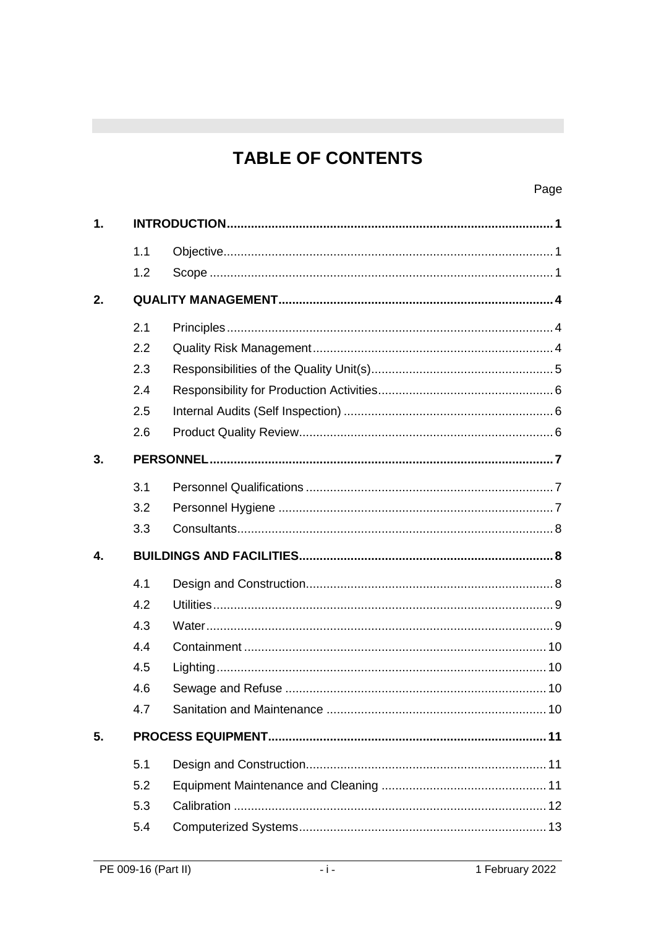# **TABLE OF CONTENTS**

| 1.               |     |  |  |  |
|------------------|-----|--|--|--|
|                  | 1.1 |  |  |  |
|                  | 1.2 |  |  |  |
| 2.               |     |  |  |  |
|                  | 2.1 |  |  |  |
|                  | 2.2 |  |  |  |
|                  | 2.3 |  |  |  |
|                  | 2.4 |  |  |  |
|                  | 2.5 |  |  |  |
|                  | 2.6 |  |  |  |
| 3.               |     |  |  |  |
|                  | 3.1 |  |  |  |
|                  | 3.2 |  |  |  |
|                  | 3.3 |  |  |  |
| $\overline{4}$ . |     |  |  |  |
|                  | 4.1 |  |  |  |
|                  | 4.2 |  |  |  |
|                  | 4.3 |  |  |  |
|                  | 4.4 |  |  |  |
|                  | 4.5 |  |  |  |
|                  | 4.6 |  |  |  |
|                  | 4.7 |  |  |  |
| 5.               |     |  |  |  |
|                  | 5.1 |  |  |  |
|                  | 5.2 |  |  |  |
|                  | 5.3 |  |  |  |
|                  | 5.4 |  |  |  |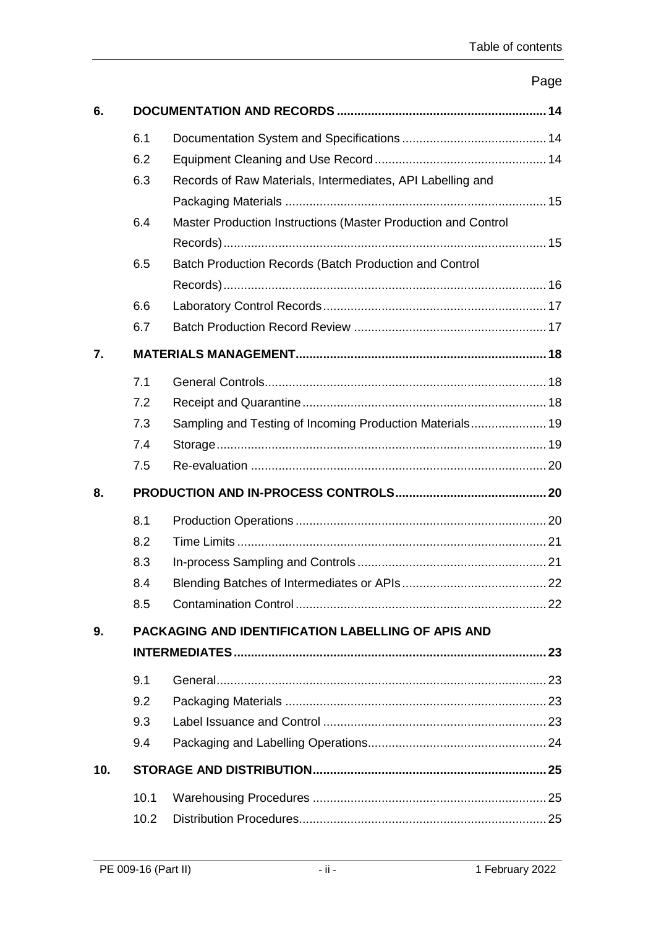| 6.  |      |                                                               |  |
|-----|------|---------------------------------------------------------------|--|
|     | 6.1  |                                                               |  |
|     | 6.2  |                                                               |  |
|     | 6.3  | Records of Raw Materials, Intermediates, API Labelling and    |  |
|     |      |                                                               |  |
|     | 6.4  | Master Production Instructions (Master Production and Control |  |
|     |      |                                                               |  |
|     | 6.5  | Batch Production Records (Batch Production and Control        |  |
|     |      |                                                               |  |
|     | 6.6  |                                                               |  |
|     | 6.7  |                                                               |  |
| 7.  |      |                                                               |  |
|     | 7.1  |                                                               |  |
|     | 7.2  |                                                               |  |
|     | 7.3  | Sampling and Testing of Incoming Production Materials 19      |  |
|     | 7.4  |                                                               |  |
|     | 7.5  |                                                               |  |
| 8.  |      |                                                               |  |
|     | 8.1  |                                                               |  |
|     | 8.2  |                                                               |  |
|     | 8.3  |                                                               |  |
|     | 8.4  |                                                               |  |
|     | 8.5  |                                                               |  |
| 9.  |      | PACKAGING AND IDENTIFICATION LABELLING OF APIS AND            |  |
|     |      |                                                               |  |
|     | 9.1  |                                                               |  |
|     | 9.2  |                                                               |  |
|     | 9.3  |                                                               |  |
|     | 9.4  |                                                               |  |
| 10. |      |                                                               |  |
|     | 10.1 |                                                               |  |
|     | 10.2 |                                                               |  |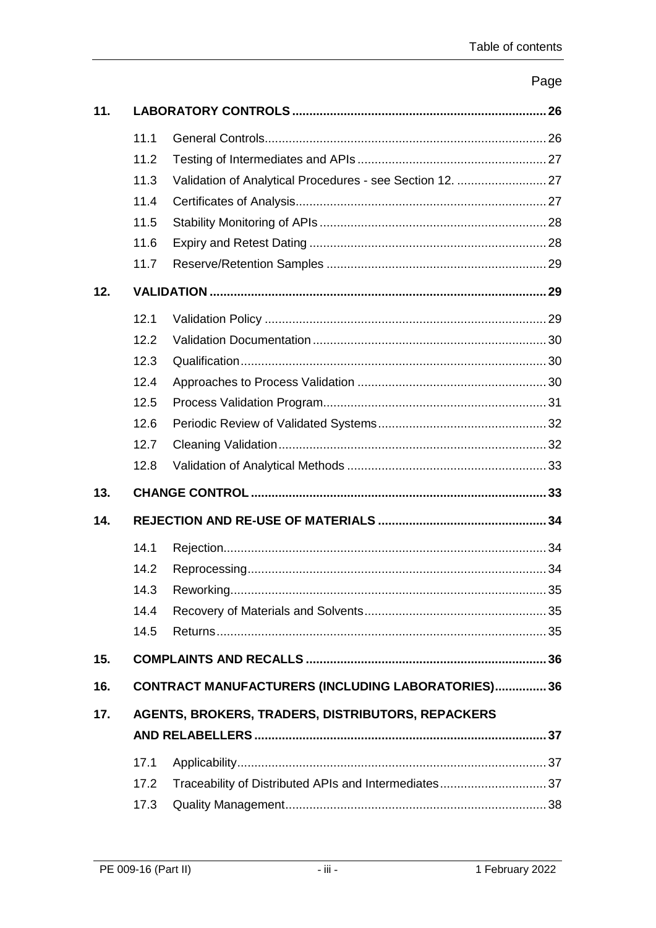# Page

| 11. |                                                          |                                                           |  |  |
|-----|----------------------------------------------------------|-----------------------------------------------------------|--|--|
|     | 11.1                                                     |                                                           |  |  |
|     | 11.2                                                     |                                                           |  |  |
|     | 11.3                                                     | Validation of Analytical Procedures - see Section 12.  27 |  |  |
|     | 11.4                                                     |                                                           |  |  |
|     | 11.5                                                     |                                                           |  |  |
|     | 11.6                                                     |                                                           |  |  |
|     | 11.7                                                     |                                                           |  |  |
| 12. |                                                          |                                                           |  |  |
|     | 12.1                                                     |                                                           |  |  |
|     | 12.2                                                     |                                                           |  |  |
|     | 12.3                                                     |                                                           |  |  |
|     | 12.4                                                     |                                                           |  |  |
|     | 12.5                                                     |                                                           |  |  |
|     | 12.6                                                     |                                                           |  |  |
|     | 12.7                                                     |                                                           |  |  |
|     | 12.8                                                     |                                                           |  |  |
| 13. |                                                          |                                                           |  |  |
| 14. |                                                          |                                                           |  |  |
|     | 14.1                                                     |                                                           |  |  |
|     | 14.2                                                     |                                                           |  |  |
|     | 14.3                                                     |                                                           |  |  |
|     | 14.4                                                     |                                                           |  |  |
|     | 14.5                                                     |                                                           |  |  |
| 15. |                                                          |                                                           |  |  |
| 16. | CONTRACT MANUFACTURERS (INCLUDING LABORATORIES) 36       |                                                           |  |  |
| 17. | <b>AGENTS, BROKERS, TRADERS, DISTRIBUTORS, REPACKERS</b> |                                                           |  |  |
|     |                                                          |                                                           |  |  |
|     | 17.1                                                     |                                                           |  |  |
|     | 17.2                                                     | Traceability of Distributed APIs and Intermediates 37     |  |  |
|     | 17.3                                                     |                                                           |  |  |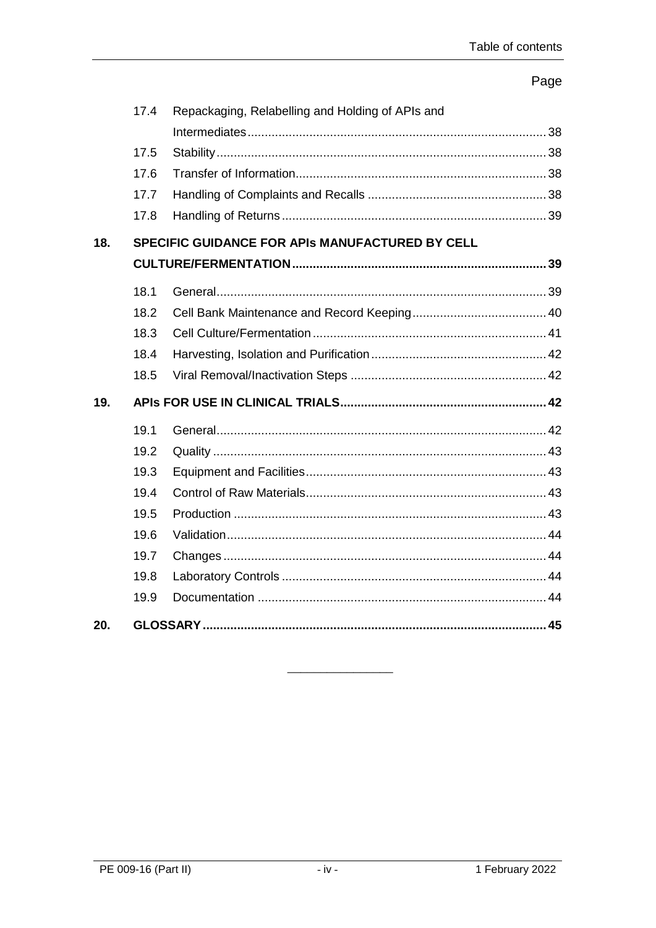# Page

|     | 17.4 | Repackaging, Relabelling and Holding of APIs and       |  |  |  |
|-----|------|--------------------------------------------------------|--|--|--|
|     |      |                                                        |  |  |  |
|     | 17.5 |                                                        |  |  |  |
|     | 17.6 |                                                        |  |  |  |
|     | 17.7 |                                                        |  |  |  |
|     | 17.8 |                                                        |  |  |  |
| 18. |      | <b>SPECIFIC GUIDANCE FOR APIS MANUFACTURED BY CELL</b> |  |  |  |
|     |      |                                                        |  |  |  |
|     | 18.1 |                                                        |  |  |  |
|     | 18.2 |                                                        |  |  |  |
|     | 18.3 |                                                        |  |  |  |
|     | 18.4 |                                                        |  |  |  |
|     | 18.5 |                                                        |  |  |  |
| 19. |      |                                                        |  |  |  |
|     | 19.1 |                                                        |  |  |  |
|     | 19.2 |                                                        |  |  |  |
|     | 19.3 |                                                        |  |  |  |
|     | 19.4 |                                                        |  |  |  |
|     | 19.5 |                                                        |  |  |  |
|     | 19.6 |                                                        |  |  |  |
|     | 19.7 |                                                        |  |  |  |
|     | 19.8 |                                                        |  |  |  |
|     | 19.9 |                                                        |  |  |  |
| 20. |      |                                                        |  |  |  |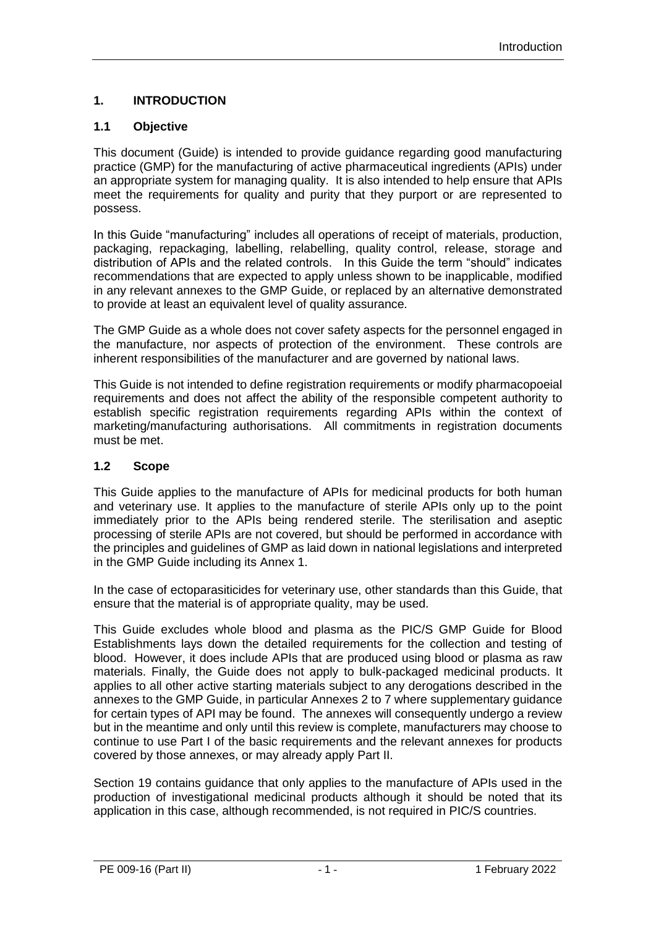# <span id="page-5-0"></span>**1. INTRODUCTION**

# <span id="page-5-1"></span>**1.1 Objective**

This document (Guide) is intended to provide guidance regarding good manufacturing practice (GMP) for the manufacturing of active pharmaceutical ingredients (APIs) under an appropriate system for managing quality. It is also intended to help ensure that APIs meet the requirements for quality and purity that they purport or are represented to possess.

In this Guide "manufacturing" includes all operations of receipt of materials, production, packaging, repackaging, labelling, relabelling, quality control, release, storage and distribution of APIs and the related controls. In this Guide the term "should" indicates recommendations that are expected to apply unless shown to be inapplicable, modified in any relevant annexes to the GMP Guide, or replaced by an alternative demonstrated to provide at least an equivalent level of quality assurance.

The GMP Guide as a whole does not cover safety aspects for the personnel engaged in the manufacture, nor aspects of protection of the environment. These controls are inherent responsibilities of the manufacturer and are governed by national laws.

This Guide is not intended to define registration requirements or modify pharmacopoeial requirements and does not affect the ability of the responsible competent authority to establish specific registration requirements regarding APIs within the context of marketing/manufacturing authorisations. All commitments in registration documents must be met.

# <span id="page-5-2"></span>**1.2 Scope**

This Guide applies to the manufacture of APIs for medicinal products for both human and veterinary use. It applies to the manufacture of sterile APIs only up to the point immediately prior to the APIs being rendered sterile. The sterilisation and aseptic processing of sterile APIs are not covered, but should be performed in accordance with the principles and guidelines of GMP as laid down in national legislations and interpreted in the GMP Guide including its Annex 1.

In the case of ectoparasiticides for veterinary use, other standards than this Guide, that ensure that the material is of appropriate quality, may be used.

This Guide excludes whole blood and plasma as the PIC/S GMP Guide for Blood Establishments lays down the detailed requirements for the collection and testing of blood. However, it does include APIs that are produced using blood or plasma as raw materials. Finally, the Guide does not apply to bulk-packaged medicinal products. It applies to all other active starting materials subject to any derogations described in the annexes to the GMP Guide, in particular Annexes 2 to 7 where supplementary guidance for certain types of API may be found. The annexes will consequently undergo a review but in the meantime and only until this review is complete, manufacturers may choose to continue to use Part I of the basic requirements and the relevant annexes for products covered by those annexes, or may already apply Part II.

Section 19 contains guidance that only applies to the manufacture of APIs used in the production of investigational medicinal products although it should be noted that its application in this case, although recommended, is not required in PIC/S countries.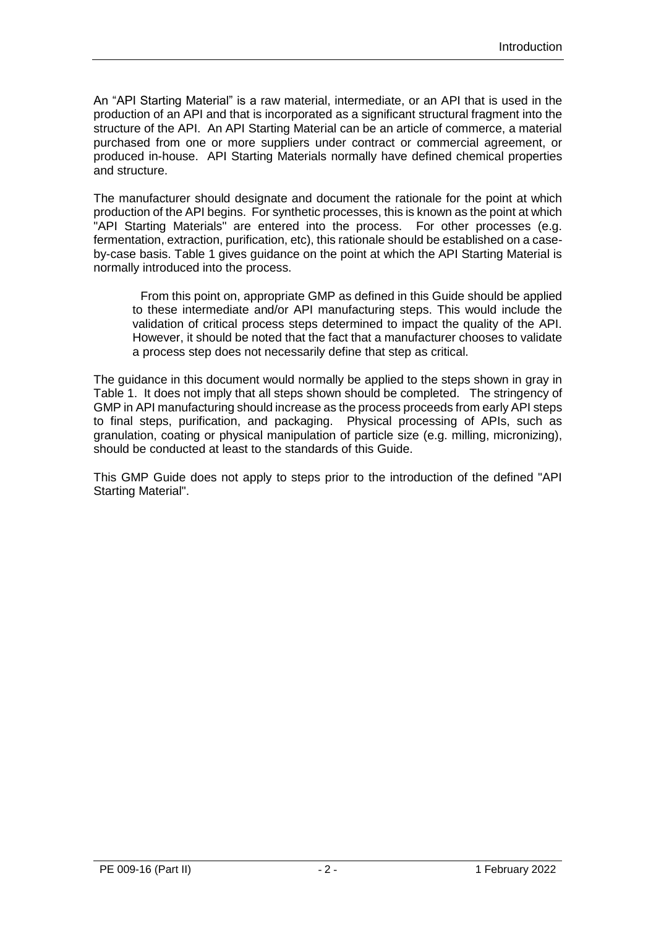An "API Starting Material" is a raw material, intermediate, or an API that is used in the production of an API and that is incorporated as a significant structural fragment into the structure of the API. An API Starting Material can be an article of commerce, a material purchased from one or more suppliers under contract or commercial agreement, or produced in-house. API Starting Materials normally have defined chemical properties and structure.

The manufacturer should designate and document the rationale for the point at which production of the API begins. For synthetic processes, this is known as the point at which "API Starting Materials" are entered into the process. For other processes (e.g. fermentation, extraction, purification, etc), this rationale should be established on a caseby-case basis. Table 1 gives guidance on the point at which the API Starting Material is normally introduced into the process.

From this point on, appropriate GMP as defined in this Guide should be applied to these intermediate and/or API manufacturing steps. This would include the validation of critical process steps determined to impact the quality of the API. However, it should be noted that the fact that a manufacturer chooses to validate a process step does not necessarily define that step as critical.

The guidance in this document would normally be applied to the steps shown in gray in Table 1. It does not imply that all steps shown should be completed. The stringency of GMP in API manufacturing should increase as the process proceeds from early API steps to final steps, purification, and packaging. Physical processing of APIs, such as granulation, coating or physical manipulation of particle size (e.g. milling, micronizing), should be conducted at least to the standards of this Guide.

This GMP Guide does not apply to steps prior to the introduction of the defined "API Starting Material".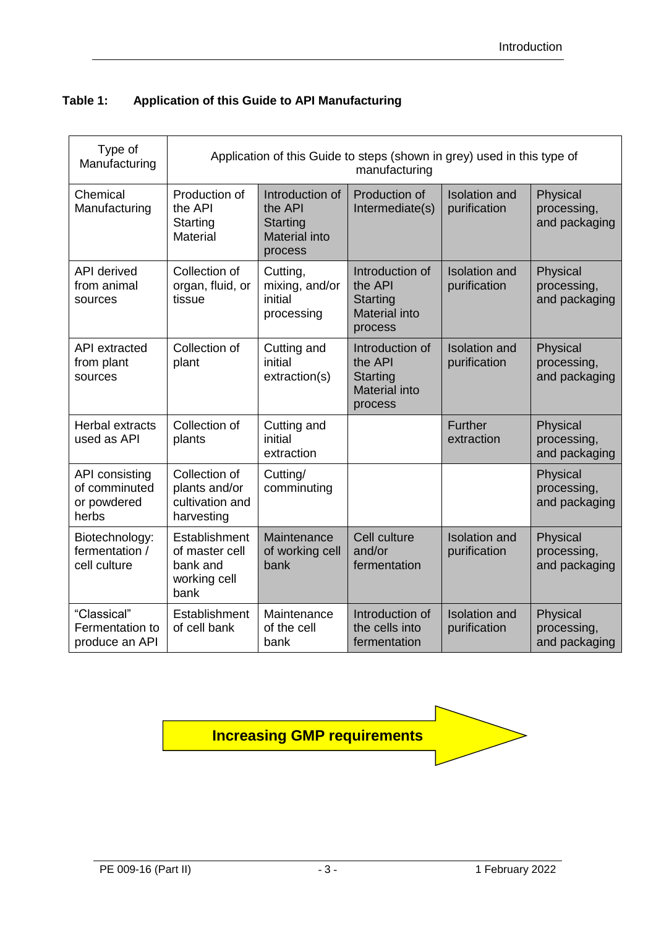| Type of<br>Manufacturing                                | Application of this Guide to steps (shown in grey) used in this type of<br>manufacturing |                                                                                  |                                                                                  |                                      |                                          |  |
|---------------------------------------------------------|------------------------------------------------------------------------------------------|----------------------------------------------------------------------------------|----------------------------------------------------------------------------------|--------------------------------------|------------------------------------------|--|
| Chemical<br>Manufacturing                               | Production of<br>the API<br>Starting<br>Material                                         | Introduction of<br>the API<br><b>Starting</b><br><b>Material into</b><br>process | Production of<br>Intermediate(s)                                                 | <b>Isolation</b> and<br>purification | Physical<br>processing,<br>and packaging |  |
| <b>API</b> derived<br>from animal<br>sources            | Collection of<br>organ, fluid, or<br>tissue                                              | Cutting,<br>mixing, and/or<br>initial<br>processing                              | Introduction of<br>the API<br><b>Starting</b><br><b>Material into</b><br>process | <b>Isolation</b> and<br>purification | Physical<br>processing,<br>and packaging |  |
| <b>API</b> extracted<br>from plant<br>sources           | Collection of<br>plant                                                                   | Cutting and<br>initial<br>extraction(s)                                          | Introduction of<br>the API<br>Starting<br><b>Material into</b><br>process        | <b>Isolation</b> and<br>purification | Physical<br>processing,<br>and packaging |  |
| <b>Herbal extracts</b><br>used as API                   | Collection of<br>plants                                                                  | Cutting and<br>initial<br>extraction                                             |                                                                                  | Further<br>extraction                | Physical<br>processing,<br>and packaging |  |
| API consisting<br>of comminuted<br>or powdered<br>herbs | Collection of<br>plants and/or<br>cultivation and<br>harvesting                          | Cutting/<br>comminuting                                                          |                                                                                  |                                      | Physical<br>processing,<br>and packaging |  |
| Biotechnology:<br>fermentation /<br>cell culture        | Establishment<br>of master cell<br>bank and<br>working cell<br>bank                      | Maintenance<br>of working cell<br>bank                                           | Cell culture<br>and/or<br>fermentation                                           | <b>Isolation</b> and<br>purification | Physical<br>processing,<br>and packaging |  |
| "Classical"<br>Fermentation to<br>produce an API        | Establishment<br>of cell bank                                                            | Maintenance<br>of the cell<br>bank                                               | Introduction of<br>the cells into<br>fermentation                                | <b>Isolation</b> and<br>purification | Physical<br>processing,<br>and packaging |  |

**Increasing GMP requirements**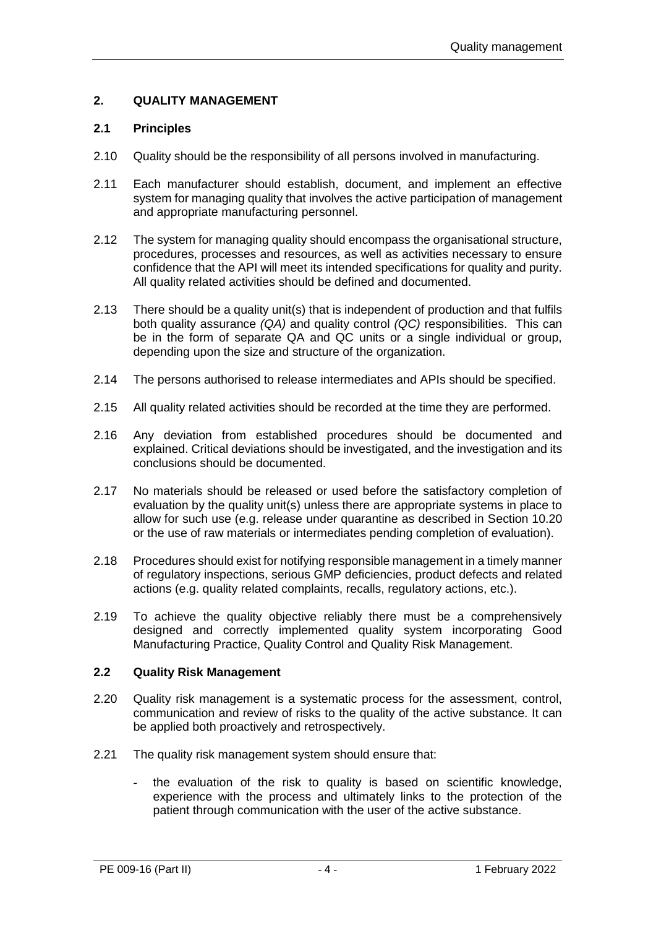# <span id="page-8-0"></span>**2. QUALITY MANAGEMENT**

#### <span id="page-8-1"></span>**2.1 Principles**

- 2.10 Quality should be the responsibility of all persons involved in manufacturing.
- 2.11 Each manufacturer should establish, document, and implement an effective system for managing quality that involves the active participation of management and appropriate manufacturing personnel.
- 2.12 The system for managing quality should encompass the organisational structure, procedures, processes and resources, as well as activities necessary to ensure confidence that the API will meet its intended specifications for quality and purity. All quality related activities should be defined and documented.
- 2.13 There should be a quality unit(s) that is independent of production and that fulfils both quality assurance *(QA)* and quality control *(QC)* responsibilities. This can be in the form of separate QA and QC units or a single individual or group, depending upon the size and structure of the organization.
- 2.14 The persons authorised to release intermediates and APIs should be specified.
- 2.15 All quality related activities should be recorded at the time they are performed.
- 2.16 Any deviation from established procedures should be documented and explained. Critical deviations should be investigated, and the investigation and its conclusions should be documented.
- 2.17 No materials should be released or used before the satisfactory completion of evaluation by the quality unit(s) unless there are appropriate systems in place to allow for such use (e.g. release under quarantine as described in Section 10.20 or the use of raw materials or intermediates pending completion of evaluation).
- 2.18 Procedures should exist for notifying responsible management in a timely manner of regulatory inspections, serious GMP deficiencies, product defects and related actions (e.g. quality related complaints, recalls, regulatory actions, etc.).
- 2.19 To achieve the quality objective reliably there must be a comprehensively designed and correctly implemented quality system incorporating Good Manufacturing Practice, Quality Control and Quality Risk Management.

# <span id="page-8-2"></span>**2.2 Quality Risk Management**

- 2.20 Quality risk management is a systematic process for the assessment, control, communication and review of risks to the quality of the active substance. It can be applied both proactively and retrospectively.
- 2.21 The quality risk management system should ensure that:
	- the evaluation of the risk to quality is based on scientific knowledge, experience with the process and ultimately links to the protection of the patient through communication with the user of the active substance.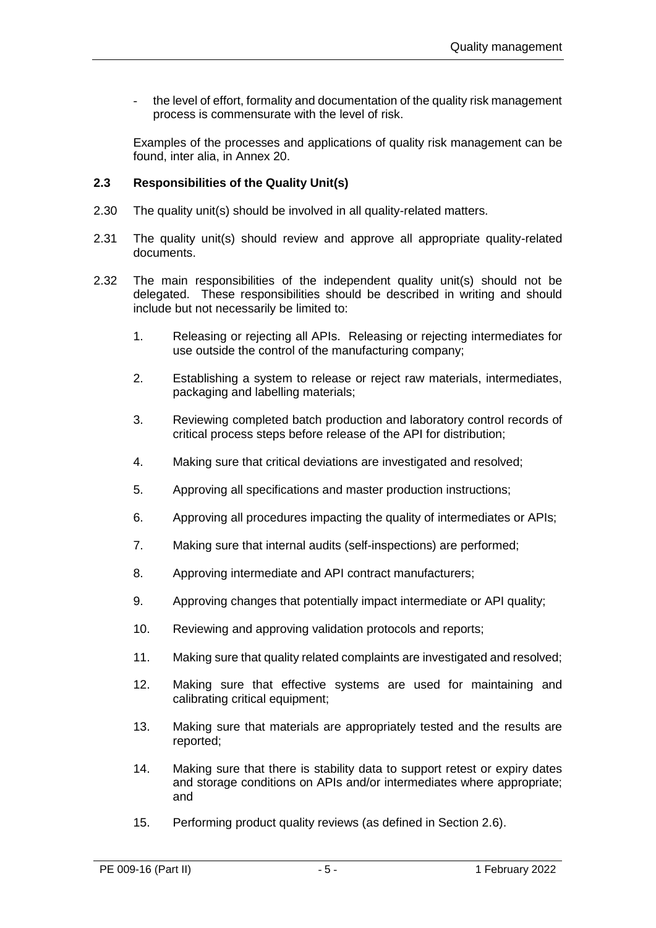- the level of effort, formality and documentation of the quality risk management process is commensurate with the level of risk.

Examples of the processes and applications of quality risk management can be found, inter alia, in Annex 20.

# <span id="page-9-0"></span>**2.3 Responsibilities of the Quality Unit(s)**

- 2.30 The quality unit(s) should be involved in all quality-related matters.
- 2.31 The quality unit(s) should review and approve all appropriate quality-related documents.
- 2.32 The main responsibilities of the independent quality unit(s) should not be delegated. These responsibilities should be described in writing and should include but not necessarily be limited to:
	- 1. Releasing or rejecting all APIs. Releasing or rejecting intermediates for use outside the control of the manufacturing company;
	- 2. Establishing a system to release or reject raw materials, intermediates, packaging and labelling materials;
	- 3. Reviewing completed batch production and laboratory control records of critical process steps before release of the API for distribution;
	- 4. Making sure that critical deviations are investigated and resolved;
	- 5. Approving all specifications and master production instructions;
	- 6. Approving all procedures impacting the quality of intermediates or APIs;
	- 7. Making sure that internal audits (self-inspections) are performed;
	- 8. Approving intermediate and API contract manufacturers;
	- 9. Approving changes that potentially impact intermediate or API quality;
	- 10. Reviewing and approving validation protocols and reports;
	- 11. Making sure that quality related complaints are investigated and resolved;
	- 12. Making sure that effective systems are used for maintaining and calibrating critical equipment;
	- 13. Making sure that materials are appropriately tested and the results are reported;
	- 14. Making sure that there is stability data to support retest or expiry dates and storage conditions on APIs and/or intermediates where appropriate; and
	- 15. Performing product quality reviews (as defined in Section 2.6).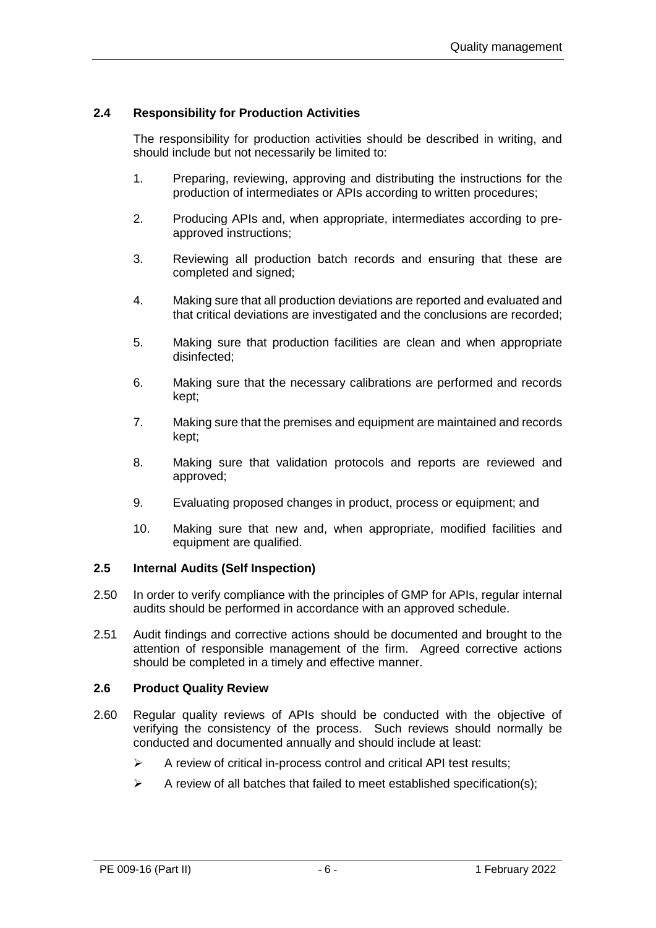# <span id="page-10-0"></span>**2.4 Responsibility for Production Activities**

The responsibility for production activities should be described in writing, and should include but not necessarily be limited to:

- 1. Preparing, reviewing, approving and distributing the instructions for the production of intermediates or APIs according to written procedures;
- 2. Producing APIs and, when appropriate, intermediates according to preapproved instructions;
- 3. Reviewing all production batch records and ensuring that these are completed and signed;
- 4. Making sure that all production deviations are reported and evaluated and that critical deviations are investigated and the conclusions are recorded;
- 5. Making sure that production facilities are clean and when appropriate disinfected;
- 6. Making sure that the necessary calibrations are performed and records kept;
- 7. Making sure that the premises and equipment are maintained and records kept;
- 8. Making sure that validation protocols and reports are reviewed and approved;
- 9. Evaluating proposed changes in product, process or equipment; and
- 10. Making sure that new and, when appropriate, modified facilities and equipment are qualified.

# <span id="page-10-1"></span>**2.5 Internal Audits (Self Inspection)**

- 2.50 In order to verify compliance with the principles of GMP for APIs, regular internal audits should be performed in accordance with an approved schedule.
- 2.51 Audit findings and corrective actions should be documented and brought to the attention of responsible management of the firm. Agreed corrective actions should be completed in a timely and effective manner.

# <span id="page-10-2"></span>**2.6 Product Quality Review**

- 2.60 Regular quality reviews of APIs should be conducted with the objective of verifying the consistency of the process. Such reviews should normally be conducted and documented annually and should include at least:
	- $\triangleright$  A review of critical in-process control and critical API test results;
	- $\triangleright$  A review of all batches that failed to meet established specification(s);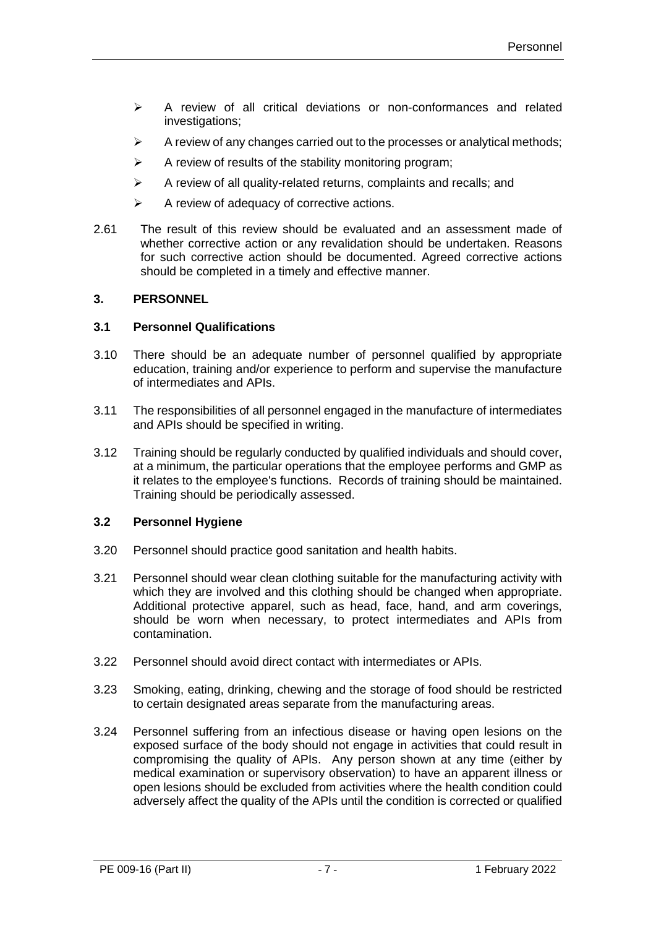- $\triangleright$  A review of all critical deviations or non-conformances and related investigations;
- $\triangleright$  A review of any changes carried out to the processes or analytical methods;
- $\triangleright$  A review of results of the stability monitoring program;
- $\triangleright$  A review of all quality-related returns, complaints and recalls; and
- $\triangleright$  A review of adequacy of corrective actions.
- 2.61 The result of this review should be evaluated and an assessment made of whether corrective action or any revalidation should be undertaken. Reasons for such corrective action should be documented. Agreed corrective actions should be completed in a timely and effective manner.

# <span id="page-11-0"></span>**3. PERSONNEL**

# <span id="page-11-1"></span>**3.1 Personnel Qualifications**

- 3.10 There should be an adequate number of personnel qualified by appropriate education, training and/or experience to perform and supervise the manufacture of intermediates and APIs.
- 3.11 The responsibilities of all personnel engaged in the manufacture of intermediates and APIs should be specified in writing.
- 3.12 Training should be regularly conducted by qualified individuals and should cover, at a minimum, the particular operations that the employee performs and GMP as it relates to the employee's functions. Records of training should be maintained. Training should be periodically assessed.

# <span id="page-11-2"></span>**3.2 Personnel Hygiene**

- 3.20 Personnel should practice good sanitation and health habits.
- 3.21 Personnel should wear clean clothing suitable for the manufacturing activity with which they are involved and this clothing should be changed when appropriate. Additional protective apparel, such as head, face, hand, and arm coverings, should be worn when necessary, to protect intermediates and APIs from contamination.
- 3.22 Personnel should avoid direct contact with intermediates or APIs.
- 3.23 Smoking, eating, drinking, chewing and the storage of food should be restricted to certain designated areas separate from the manufacturing areas.
- 3.24 Personnel suffering from an infectious disease or having open lesions on the exposed surface of the body should not engage in activities that could result in compromising the quality of APIs. Any person shown at any time (either by medical examination or supervisory observation) to have an apparent illness or open lesions should be excluded from activities where the health condition could adversely affect the quality of the APIs until the condition is corrected or qualified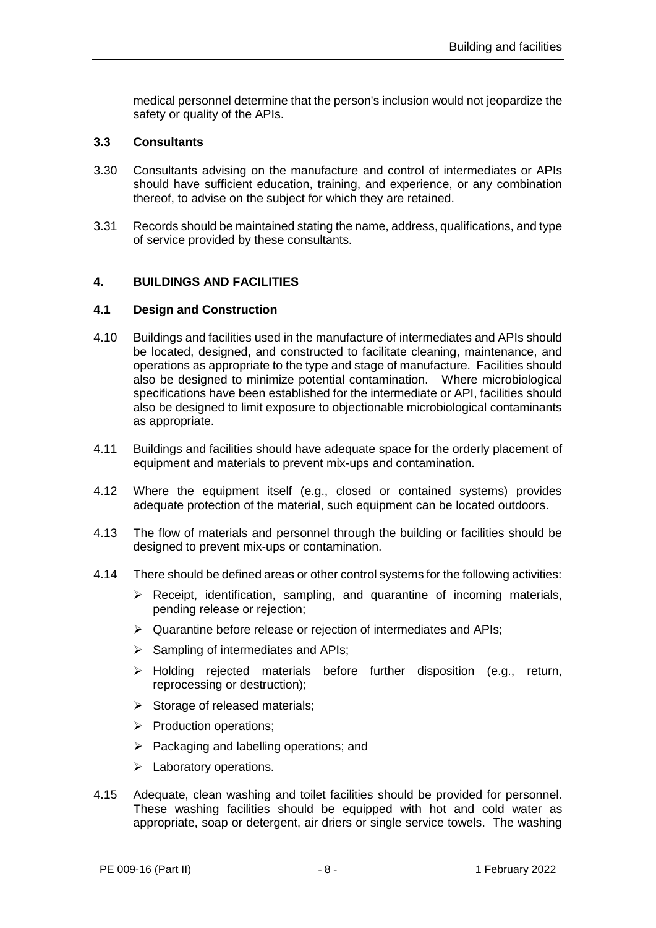medical personnel determine that the person's inclusion would not jeopardize the safety or quality of the APIs.

# <span id="page-12-0"></span>**3.3 Consultants**

- 3.30 Consultants advising on the manufacture and control of intermediates or APIs should have sufficient education, training, and experience, or any combination thereof, to advise on the subject for which they are retained.
- 3.31 Records should be maintained stating the name, address, qualifications, and type of service provided by these consultants.

# <span id="page-12-1"></span>**4. BUILDINGS AND FACILITIES**

#### <span id="page-12-2"></span>**4.1 Design and Construction**

- 4.10 Buildings and facilities used in the manufacture of intermediates and APIs should be located, designed, and constructed to facilitate cleaning, maintenance, and operations as appropriate to the type and stage of manufacture. Facilities should also be designed to minimize potential contamination. Where microbiological specifications have been established for the intermediate or API, facilities should also be designed to limit exposure to objectionable microbiological contaminants as appropriate.
- 4.11 Buildings and facilities should have adequate space for the orderly placement of equipment and materials to prevent mix-ups and contamination.
- 4.12 Where the equipment itself (e.g., closed or contained systems) provides adequate protection of the material, such equipment can be located outdoors.
- 4.13 The flow of materials and personnel through the building or facilities should be designed to prevent mix-ups or contamination.
- 4.14 There should be defined areas or other control systems for the following activities:
	- $\triangleright$  Receipt, identification, sampling, and quarantine of incoming materials, pending release or rejection;
	- $\triangleright$  Quarantine before release or rejection of intermediates and APIs;
	- $\triangleright$  Sampling of intermediates and APIs;
	- $\triangleright$  Holding rejected materials before further disposition (e.g., return, reprocessing or destruction);
	- $\triangleright$  Storage of released materials;
	- $\triangleright$  Production operations;
	- $\triangleright$  Packaging and labelling operations; and
	- $\triangleright$  Laboratory operations.
- 4.15 Adequate, clean washing and toilet facilities should be provided for personnel. These washing facilities should be equipped with hot and cold water as appropriate, soap or detergent, air driers or single service towels. The washing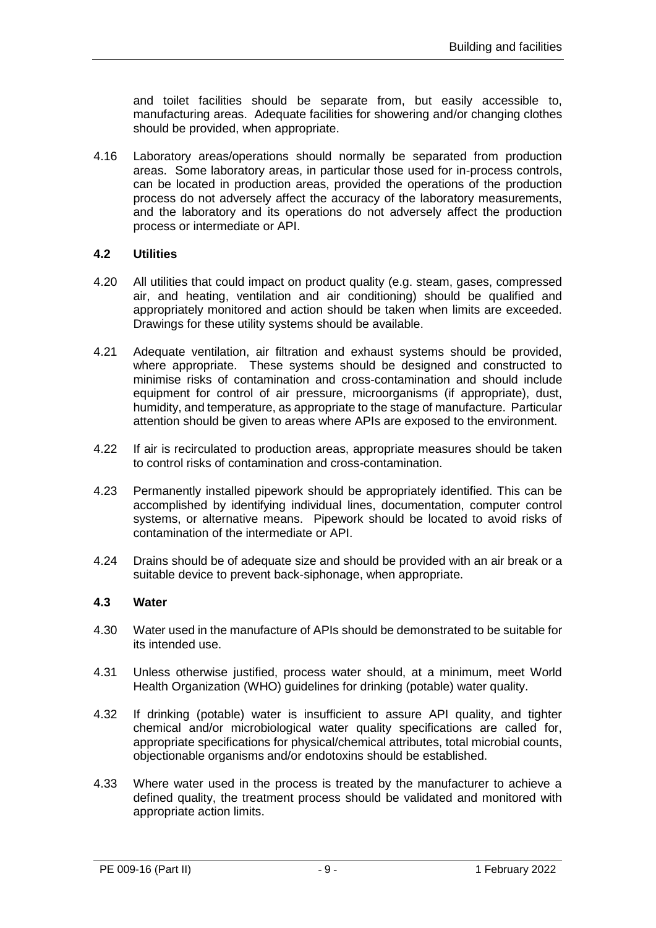and toilet facilities should be separate from, but easily accessible to, manufacturing areas. Adequate facilities for showering and/or changing clothes should be provided, when appropriate.

4.16 Laboratory areas/operations should normally be separated from production areas. Some laboratory areas, in particular those used for in-process controls, can be located in production areas, provided the operations of the production process do not adversely affect the accuracy of the laboratory measurements, and the laboratory and its operations do not adversely affect the production process or intermediate or API.

# <span id="page-13-0"></span>**4.2 Utilities**

- 4.20 All utilities that could impact on product quality (e.g. steam, gases, compressed air, and heating, ventilation and air conditioning) should be qualified and appropriately monitored and action should be taken when limits are exceeded. Drawings for these utility systems should be available.
- 4.21 Adequate ventilation, air filtration and exhaust systems should be provided, where appropriate. These systems should be designed and constructed to minimise risks of contamination and cross-contamination and should include equipment for control of air pressure, microorganisms (if appropriate), dust, humidity, and temperature, as appropriate to the stage of manufacture. Particular attention should be given to areas where APIs are exposed to the environment.
- 4.22 If air is recirculated to production areas, appropriate measures should be taken to control risks of contamination and cross-contamination.
- 4.23 Permanently installed pipework should be appropriately identified. This can be accomplished by identifying individual lines, documentation, computer control systems, or alternative means. Pipework should be located to avoid risks of contamination of the intermediate or API.
- 4.24 Drains should be of adequate size and should be provided with an air break or a suitable device to prevent back-siphonage, when appropriate.

#### <span id="page-13-1"></span>**4.3 Water**

- 4.30 Water used in the manufacture of APIs should be demonstrated to be suitable for its intended use.
- 4.31 Unless otherwise justified, process water should, at a minimum, meet World Health Organization (WHO) guidelines for drinking (potable) water quality.
- 4.32 If drinking (potable) water is insufficient to assure API quality, and tighter chemical and/or microbiological water quality specifications are called for, appropriate specifications for physical/chemical attributes, total microbial counts, objectionable organisms and/or endotoxins should be established.
- 4.33 Where water used in the process is treated by the manufacturer to achieve a defined quality, the treatment process should be validated and monitored with appropriate action limits.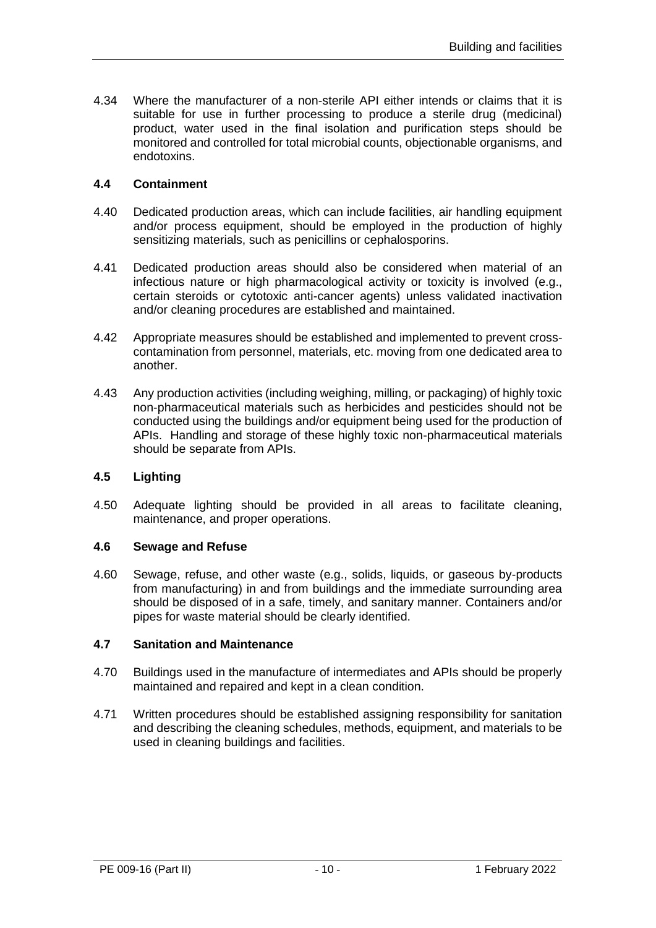4.34 Where the manufacturer of a non-sterile API either intends or claims that it is suitable for use in further processing to produce a sterile drug (medicinal) product, water used in the final isolation and purification steps should be monitored and controlled for total microbial counts, objectionable organisms, and endotoxins.

# <span id="page-14-0"></span>**4.4 Containment**

- 4.40 Dedicated production areas, which can include facilities, air handling equipment and/or process equipment, should be employed in the production of highly sensitizing materials, such as penicillins or cephalosporins.
- 4.41 Dedicated production areas should also be considered when material of an infectious nature or high pharmacological activity or toxicity is involved (e.g., certain steroids or cytotoxic anti-cancer agents) unless validated inactivation and/or cleaning procedures are established and maintained.
- 4.42 Appropriate measures should be established and implemented to prevent crosscontamination from personnel, materials, etc. moving from one dedicated area to another.
- 4.43 Any production activities (including weighing, milling, or packaging) of highly toxic non-pharmaceutical materials such as herbicides and pesticides should not be conducted using the buildings and/or equipment being used for the production of APIs. Handling and storage of these highly toxic non-pharmaceutical materials should be separate from APIs.

#### <span id="page-14-1"></span>**4.5 Lighting**

4.50 Adequate lighting should be provided in all areas to facilitate cleaning, maintenance, and proper operations.

#### <span id="page-14-2"></span>**4.6 Sewage and Refuse**

4.60 Sewage, refuse, and other waste (e.g., solids, liquids, or gaseous by-products from manufacturing) in and from buildings and the immediate surrounding area should be disposed of in a safe, timely, and sanitary manner. Containers and/or pipes for waste material should be clearly identified.

#### <span id="page-14-3"></span>**4.7 Sanitation and Maintenance**

- 4.70 Buildings used in the manufacture of intermediates and APIs should be properly maintained and repaired and kept in a clean condition.
- 4.71 Written procedures should be established assigning responsibility for sanitation and describing the cleaning schedules, methods, equipment, and materials to be used in cleaning buildings and facilities.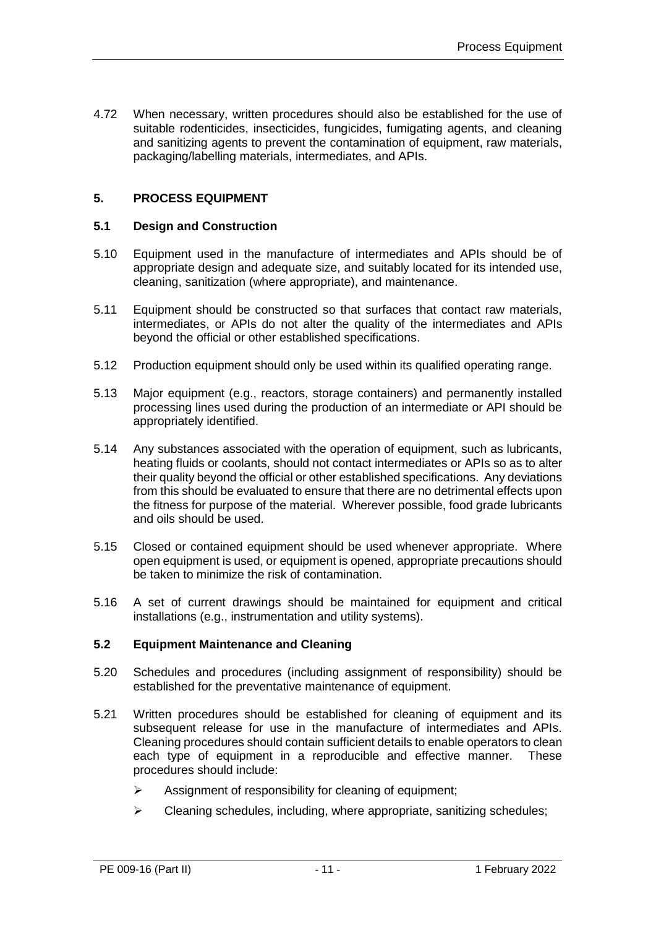4.72 When necessary, written procedures should also be established for the use of suitable rodenticides, insecticides, fungicides, fumigating agents, and cleaning and sanitizing agents to prevent the contamination of equipment, raw materials, packaging/labelling materials, intermediates, and APIs.

# <span id="page-15-0"></span>**5. PROCESS EQUIPMENT**

#### <span id="page-15-1"></span>**5.1 Design and Construction**

- 5.10 Equipment used in the manufacture of intermediates and APIs should be of appropriate design and adequate size, and suitably located for its intended use, cleaning, sanitization (where appropriate), and maintenance.
- 5.11 Equipment should be constructed so that surfaces that contact raw materials, intermediates, or APIs do not alter the quality of the intermediates and APIs beyond the official or other established specifications.
- 5.12 Production equipment should only be used within its qualified operating range.
- 5.13 Major equipment (e.g., reactors, storage containers) and permanently installed processing lines used during the production of an intermediate or API should be appropriately identified.
- 5.14 Any substances associated with the operation of equipment, such as lubricants, heating fluids or coolants, should not contact intermediates or APIs so as to alter their quality beyond the official or other established specifications. Any deviations from this should be evaluated to ensure that there are no detrimental effects upon the fitness for purpose of the material. Wherever possible, food grade lubricants and oils should be used.
- 5.15 Closed or contained equipment should be used whenever appropriate. Where open equipment is used, or equipment is opened, appropriate precautions should be taken to minimize the risk of contamination.
- 5.16 A set of current drawings should be maintained for equipment and critical installations (e.g., instrumentation and utility systems).

# <span id="page-15-2"></span>**5.2 Equipment Maintenance and Cleaning**

- 5.20 Schedules and procedures (including assignment of responsibility) should be established for the preventative maintenance of equipment.
- 5.21 Written procedures should be established for cleaning of equipment and its subsequent release for use in the manufacture of intermediates and APIs. Cleaning procedures should contain sufficient details to enable operators to clean each type of equipment in a reproducible and effective manner. These procedures should include:
	- $\triangleright$  Assignment of responsibility for cleaning of equipment;
	- $\triangleright$  Cleaning schedules, including, where appropriate, sanitizing schedules;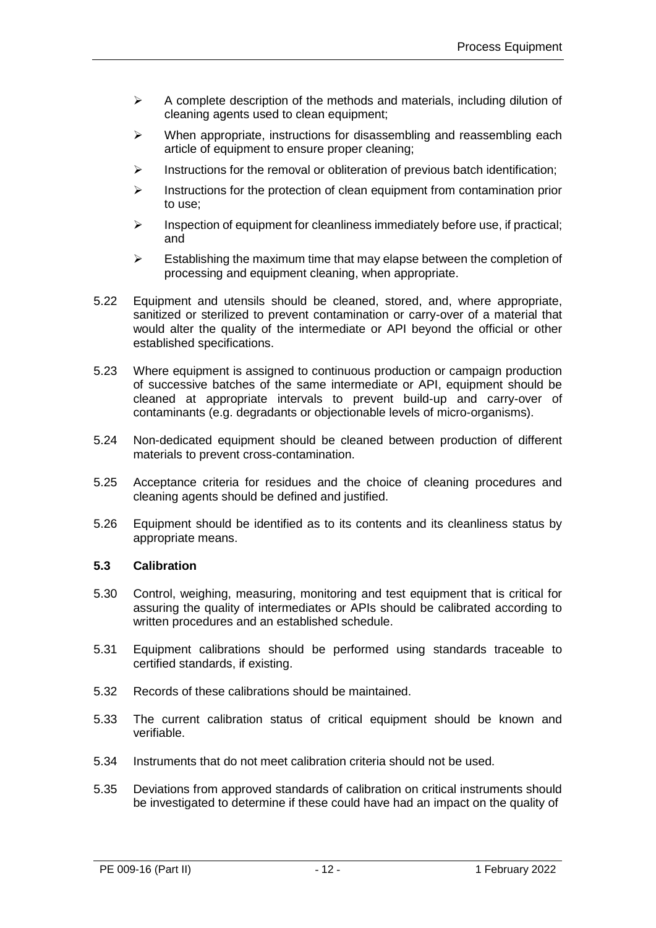- $\triangleright$  A complete description of the methods and materials, including dilution of cleaning agents used to clean equipment;
- $\triangleright$  When appropriate, instructions for disassembling and reassembling each article of equipment to ensure proper cleaning;
- $\triangleright$  Instructions for the removal or obliteration of previous batch identification;
- $\triangleright$  Instructions for the protection of clean equipment from contamination prior to use;
- $\triangleright$  Inspection of equipment for cleanliness immediately before use, if practical; and
- $\triangleright$  Establishing the maximum time that may elapse between the completion of processing and equipment cleaning, when appropriate.
- 5.22 Equipment and utensils should be cleaned, stored, and, where appropriate, sanitized or sterilized to prevent contamination or carry-over of a material that would alter the quality of the intermediate or API beyond the official or other established specifications.
- 5.23 Where equipment is assigned to continuous production or campaign production of successive batches of the same intermediate or API, equipment should be cleaned at appropriate intervals to prevent build-up and carry-over of contaminants (e.g. degradants or objectionable levels of micro-organisms).
- 5.24 Non-dedicated equipment should be cleaned between production of different materials to prevent cross-contamination.
- 5.25 Acceptance criteria for residues and the choice of cleaning procedures and cleaning agents should be defined and justified.
- 5.26 Equipment should be identified as to its contents and its cleanliness status by appropriate means.

#### <span id="page-16-0"></span>**5.3 Calibration**

- 5.30 Control, weighing, measuring, monitoring and test equipment that is critical for assuring the quality of intermediates or APIs should be calibrated according to written procedures and an established schedule.
- 5.31 Equipment calibrations should be performed using standards traceable to certified standards, if existing.
- 5.32 Records of these calibrations should be maintained.
- 5.33 The current calibration status of critical equipment should be known and verifiable.
- 5.34 Instruments that do not meet calibration criteria should not be used.
- 5.35 Deviations from approved standards of calibration on critical instruments should be investigated to determine if these could have had an impact on the quality of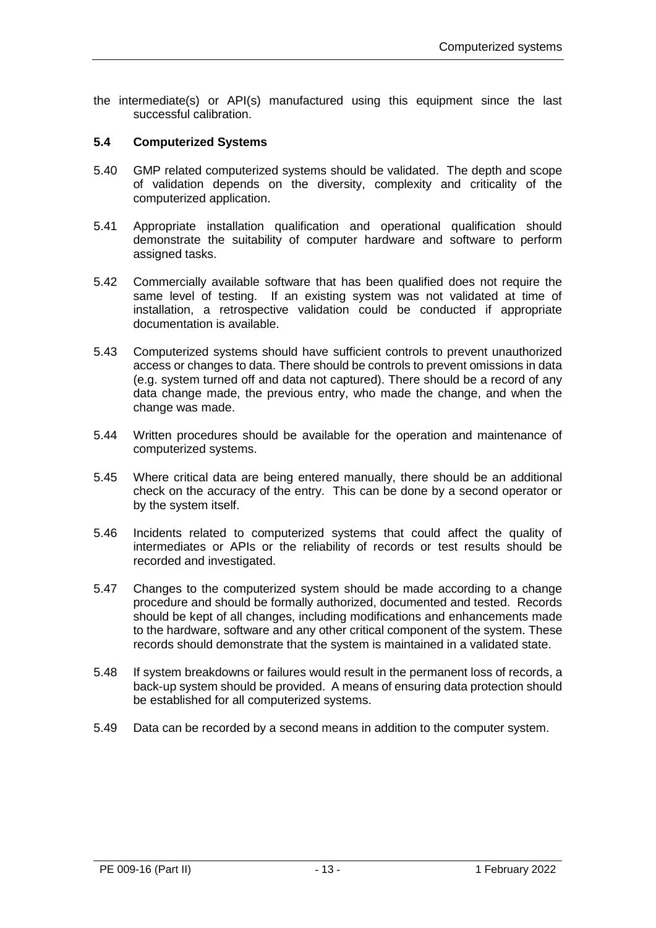the intermediate(s) or API(s) manufactured using this equipment since the last successful calibration.

# <span id="page-17-0"></span>**5.4 Computerized Systems**

- 5.40 GMP related computerized systems should be validated. The depth and scope of validation depends on the diversity, complexity and criticality of the computerized application.
- 5.41 Appropriate installation qualification and operational qualification should demonstrate the suitability of computer hardware and software to perform assigned tasks.
- 5.42 Commercially available software that has been qualified does not require the same level of testing. If an existing system was not validated at time of installation, a retrospective validation could be conducted if appropriate documentation is available.
- 5.43 Computerized systems should have sufficient controls to prevent unauthorized access or changes to data. There should be controls to prevent omissions in data (e.g. system turned off and data not captured). There should be a record of any data change made, the previous entry, who made the change, and when the change was made.
- 5.44 Written procedures should be available for the operation and maintenance of computerized systems.
- 5.45 Where critical data are being entered manually, there should be an additional check on the accuracy of the entry. This can be done by a second operator or by the system itself.
- 5.46 Incidents related to computerized systems that could affect the quality of intermediates or APIs or the reliability of records or test results should be recorded and investigated.
- 5.47 Changes to the computerized system should be made according to a change procedure and should be formally authorized, documented and tested. Records should be kept of all changes, including modifications and enhancements made to the hardware, software and any other critical component of the system. These records should demonstrate that the system is maintained in a validated state.
- 5.48 If system breakdowns or failures would result in the permanent loss of records, a back-up system should be provided. A means of ensuring data protection should be established for all computerized systems.
- 5.49 Data can be recorded by a second means in addition to the computer system.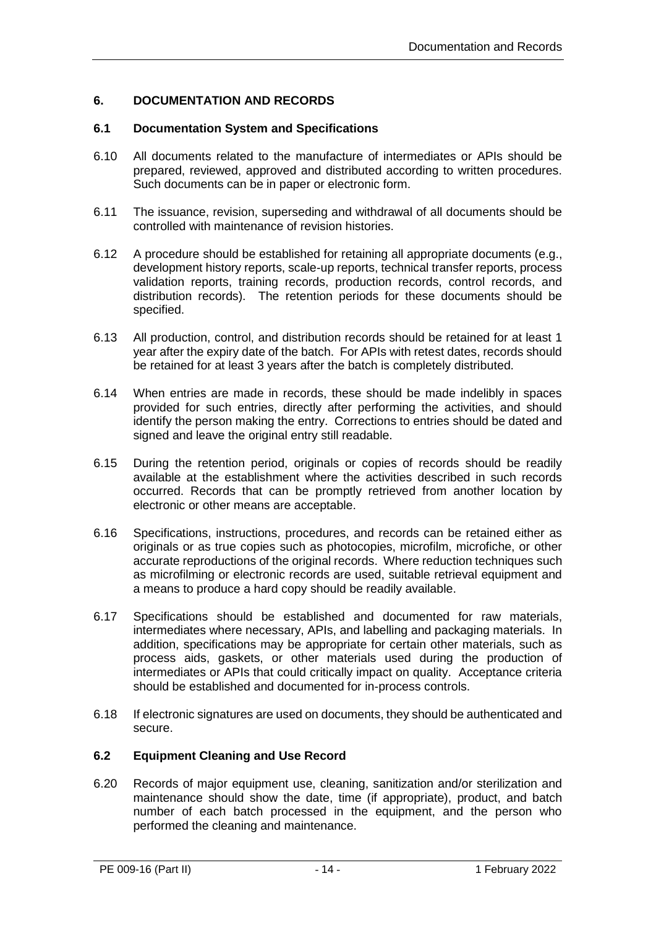# <span id="page-18-0"></span>**6. DOCUMENTATION AND RECORDS**

# <span id="page-18-1"></span>**6.1 Documentation System and Specifications**

- 6.10 All documents related to the manufacture of intermediates or APIs should be prepared, reviewed, approved and distributed according to written procedures. Such documents can be in paper or electronic form.
- 6.11 The issuance, revision, superseding and withdrawal of all documents should be controlled with maintenance of revision histories.
- 6.12 A procedure should be established for retaining all appropriate documents (e.g., development history reports, scale-up reports, technical transfer reports, process validation reports, training records, production records, control records, and distribution records). The retention periods for these documents should be specified.
- 6.13 All production, control, and distribution records should be retained for at least 1 year after the expiry date of the batch. For APIs with retest dates, records should be retained for at least 3 years after the batch is completely distributed.
- 6.14 When entries are made in records, these should be made indelibly in spaces provided for such entries, directly after performing the activities, and should identify the person making the entry. Corrections to entries should be dated and signed and leave the original entry still readable.
- 6.15 During the retention period, originals or copies of records should be readily available at the establishment where the activities described in such records occurred. Records that can be promptly retrieved from another location by electronic or other means are acceptable.
- 6.16 Specifications, instructions, procedures, and records can be retained either as originals or as true copies such as photocopies, microfilm, microfiche, or other accurate reproductions of the original records. Where reduction techniques such as microfilming or electronic records are used, suitable retrieval equipment and a means to produce a hard copy should be readily available.
- 6.17 Specifications should be established and documented for raw materials, intermediates where necessary, APIs, and labelling and packaging materials. In addition, specifications may be appropriate for certain other materials, such as process aids, gaskets, or other materials used during the production of intermediates or APIs that could critically impact on quality. Acceptance criteria should be established and documented for in-process controls.
- 6.18 If electronic signatures are used on documents, they should be authenticated and secure.

#### <span id="page-18-2"></span>**6.2 Equipment Cleaning and Use Record**

6.20 Records of major equipment use, cleaning, sanitization and/or sterilization and maintenance should show the date, time (if appropriate), product, and batch number of each batch processed in the equipment, and the person who performed the cleaning and maintenance.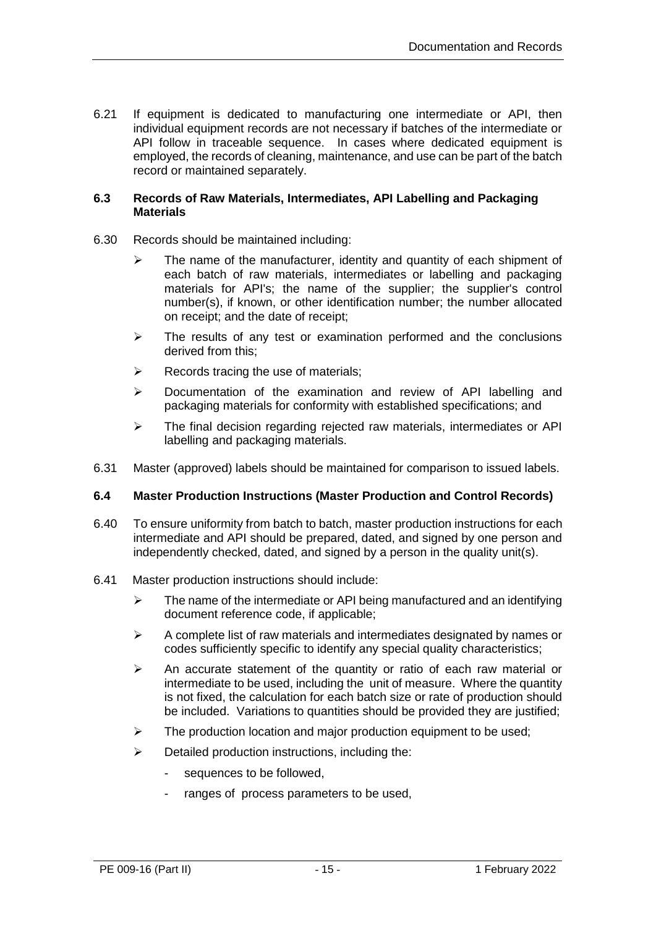6.21 If equipment is dedicated to manufacturing one intermediate or API, then individual equipment records are not necessary if batches of the intermediate or API follow in traceable sequence. In cases where dedicated equipment is employed, the records of cleaning, maintenance, and use can be part of the batch record or maintained separately.

#### <span id="page-19-0"></span>**6.3 Records of Raw Materials, Intermediates, API Labelling and Packaging Materials**

- 6.30 Records should be maintained including:
	- $\triangleright$  The name of the manufacturer, identity and quantity of each shipment of each batch of raw materials, intermediates or labelling and packaging materials for API's; the name of the supplier; the supplier's control number(s), if known, or other identification number; the number allocated on receipt; and the date of receipt;
	- $\triangleright$  The results of any test or examination performed and the conclusions derived from this;
	- $\triangleright$  Records tracing the use of materials;
	- $\triangleright$  Documentation of the examination and review of API labelling and packaging materials for conformity with established specifications; and
	- The final decision regarding rejected raw materials, intermediates or API labelling and packaging materials.
- 6.31 Master (approved) labels should be maintained for comparison to issued labels.

# <span id="page-19-1"></span>**6.4 Master Production Instructions (Master Production and Control Records)**

- 6.40 To ensure uniformity from batch to batch, master production instructions for each intermediate and API should be prepared, dated, and signed by one person and independently checked, dated, and signed by a person in the quality unit(s).
- 6.41 Master production instructions should include:
	- $\triangleright$  The name of the intermediate or API being manufactured and an identifying document reference code, if applicable;
	- $\triangleright$  A complete list of raw materials and intermediates designated by names or codes sufficiently specific to identify any special quality characteristics;
	- $\triangleright$  An accurate statement of the quantity or ratio of each raw material or intermediate to be used, including the unit of measure. Where the quantity is not fixed, the calculation for each batch size or rate of production should be included. Variations to quantities should be provided they are justified;
	- $\triangleright$  The production location and major production equipment to be used;
	- $\triangleright$  Detailed production instructions, including the:
		- sequences to be followed,
		- ranges of process parameters to be used,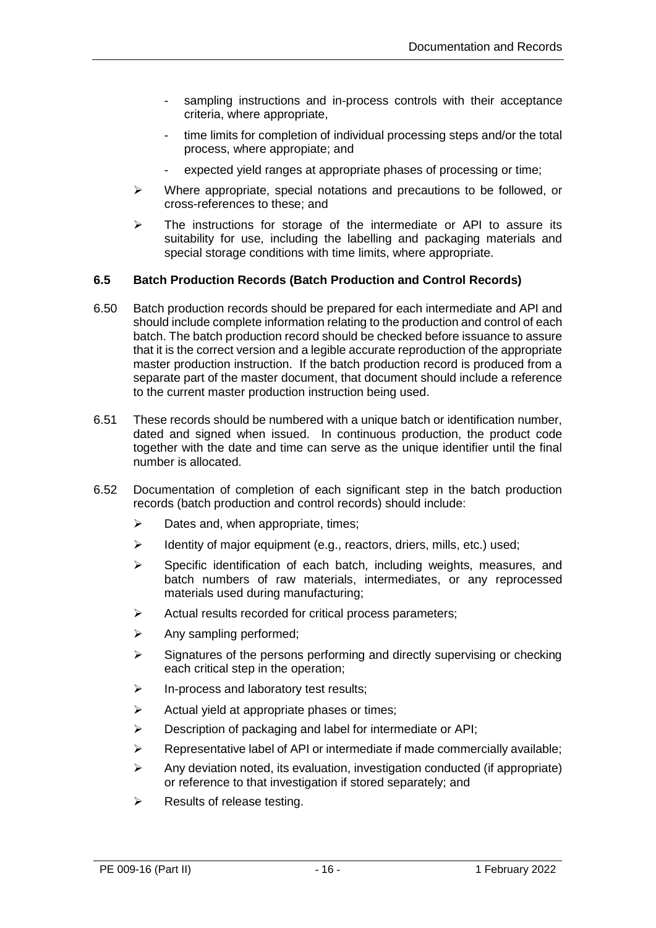- sampling instructions and in-process controls with their acceptance criteria, where appropriate,
- time limits for completion of individual processing steps and/or the total process, where appropiate; and
- expected yield ranges at appropriate phases of processing or time;
- $\triangleright$  Where appropriate, special notations and precautions to be followed, or cross-references to these; and
- $\triangleright$  The instructions for storage of the intermediate or API to assure its suitability for use, including the labelling and packaging materials and special storage conditions with time limits, where appropriate.

# <span id="page-20-0"></span>**6.5 Batch Production Records (Batch Production and Control Records)**

- 6.50 Batch production records should be prepared for each intermediate and API and should include complete information relating to the production and control of each batch. The batch production record should be checked before issuance to assure that it is the correct version and a legible accurate reproduction of the appropriate master production instruction. If the batch production record is produced from a separate part of the master document, that document should include a reference to the current master production instruction being used.
- 6.51 These records should be numbered with a unique batch or identification number, dated and signed when issued. In continuous production, the product code together with the date and time can serve as the unique identifier until the final number is allocated.
- 6.52 Documentation of completion of each significant step in the batch production records (batch production and control records) should include:
	- $\triangleright$  Dates and, when appropriate, times;
	- $\triangleright$  Identity of major equipment (e.g., reactors, driers, mills, etc.) used;
	- $\triangleright$  Specific identification of each batch, including weights, measures, and batch numbers of raw materials, intermediates, or any reprocessed materials used during manufacturing;
	- $\triangleright$  Actual results recorded for critical process parameters;
	- $\triangleright$  Any sampling performed;
	- $\triangleright$  Signatures of the persons performing and directly supervising or checking each critical step in the operation;
	- $\triangleright$  In-process and laboratory test results;
	- $\triangleright$  Actual yield at appropriate phases or times;
	- $\triangleright$  Description of packaging and label for intermediate or API;
	- $\triangleright$  Representative label of API or intermediate if made commercially available;
	- $\triangleright$  Any deviation noted, its evaluation, investigation conducted (if appropriate) or reference to that investigation if stored separately; and
	- $\triangleright$  Results of release testing.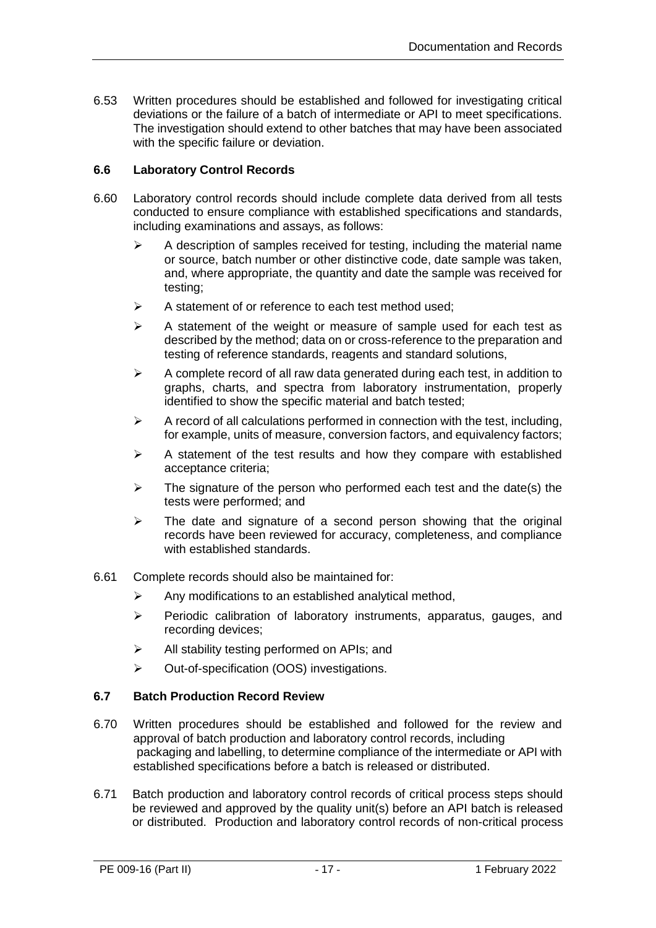6.53 Written procedures should be established and followed for investigating critical deviations or the failure of a batch of intermediate or API to meet specifications. The investigation should extend to other batches that may have been associated with the specific failure or deviation.

# <span id="page-21-0"></span>**6.6 Laboratory Control Records**

- 6.60 Laboratory control records should include complete data derived from all tests conducted to ensure compliance with established specifications and standards, including examinations and assays, as follows:
	- $\triangleright$  A description of samples received for testing, including the material name or source, batch number or other distinctive code, date sample was taken, and, where appropriate, the quantity and date the sample was received for testing;
	- $\triangleright$  A statement of or reference to each test method used;
	- $\triangleright$  A statement of the weight or measure of sample used for each test as described by the method; data on or cross-reference to the preparation and testing of reference standards, reagents and standard solutions,
	- $\triangleright$  A complete record of all raw data generated during each test, in addition to graphs, charts, and spectra from laboratory instrumentation, properly identified to show the specific material and batch tested;
	- $\triangleright$  A record of all calculations performed in connection with the test, including, for example, units of measure, conversion factors, and equivalency factors;
	- $\triangleright$  A statement of the test results and how they compare with established acceptance criteria;
	- $\triangleright$  The signature of the person who performed each test and the date(s) the tests were performed; and
	- $\triangleright$  The date and signature of a second person showing that the original records have been reviewed for accuracy, completeness, and compliance with established standards.
- 6.61 Complete records should also be maintained for:
	- $\triangleright$  Any modifications to an established analytical method,
	- $\triangleright$  Periodic calibration of laboratory instruments, apparatus, gauges, and recording devices;
	- $\triangleright$  All stability testing performed on APIs; and
	- Out-of-specification (OOS) investigations.

# <span id="page-21-1"></span>**6.7 Batch Production Record Review**

- 6.70 Written procedures should be established and followed for the review and approval of batch production and laboratory control records, including packaging and labelling, to determine compliance of the intermediate or API with established specifications before a batch is released or distributed.
- 6.71 Batch production and laboratory control records of critical process steps should be reviewed and approved by the quality unit(s) before an API batch is released or distributed. Production and laboratory control records of non-critical process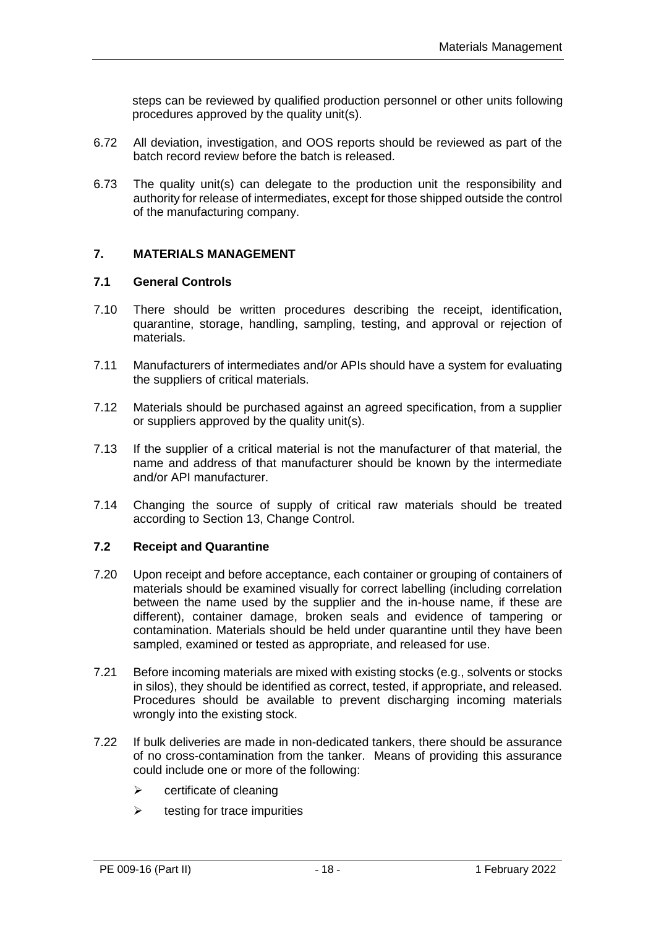steps can be reviewed by qualified production personnel or other units following procedures approved by the quality unit(s).

- 6.72 All deviation, investigation, and OOS reports should be reviewed as part of the batch record review before the batch is released.
- 6.73 The quality unit(s) can delegate to the production unit the responsibility and authority for release of intermediates, except for those shipped outside the control of the manufacturing company.

# <span id="page-22-0"></span>**7. MATERIALS MANAGEMENT**

#### <span id="page-22-1"></span>**7.1 General Controls**

- 7.10 There should be written procedures describing the receipt, identification, quarantine, storage, handling, sampling, testing, and approval or rejection of materials.
- 7.11 Manufacturers of intermediates and/or APIs should have a system for evaluating the suppliers of critical materials.
- 7.12 Materials should be purchased against an agreed specification, from a supplier or suppliers approved by the quality unit(s).
- 7.13 If the supplier of a critical material is not the manufacturer of that material, the name and address of that manufacturer should be known by the intermediate and/or API manufacturer.
- 7.14 Changing the source of supply of critical raw materials should be treated according to Section 13, Change Control.

# <span id="page-22-2"></span>**7.2 Receipt and Quarantine**

- 7.20 Upon receipt and before acceptance, each container or grouping of containers of materials should be examined visually for correct labelling (including correlation between the name used by the supplier and the in-house name, if these are different), container damage, broken seals and evidence of tampering or contamination. Materials should be held under quarantine until they have been sampled, examined or tested as appropriate, and released for use.
- 7.21 Before incoming materials are mixed with existing stocks (e.g., solvents or stocks in silos), they should be identified as correct, tested, if appropriate, and released. Procedures should be available to prevent discharging incoming materials wrongly into the existing stock.
- 7.22 If bulk deliveries are made in non-dedicated tankers, there should be assurance of no cross-contamination from the tanker. Means of providing this assurance could include one or more of the following:
	- $\triangleright$  certificate of cleaning
	- $\triangleright$  testing for trace impurities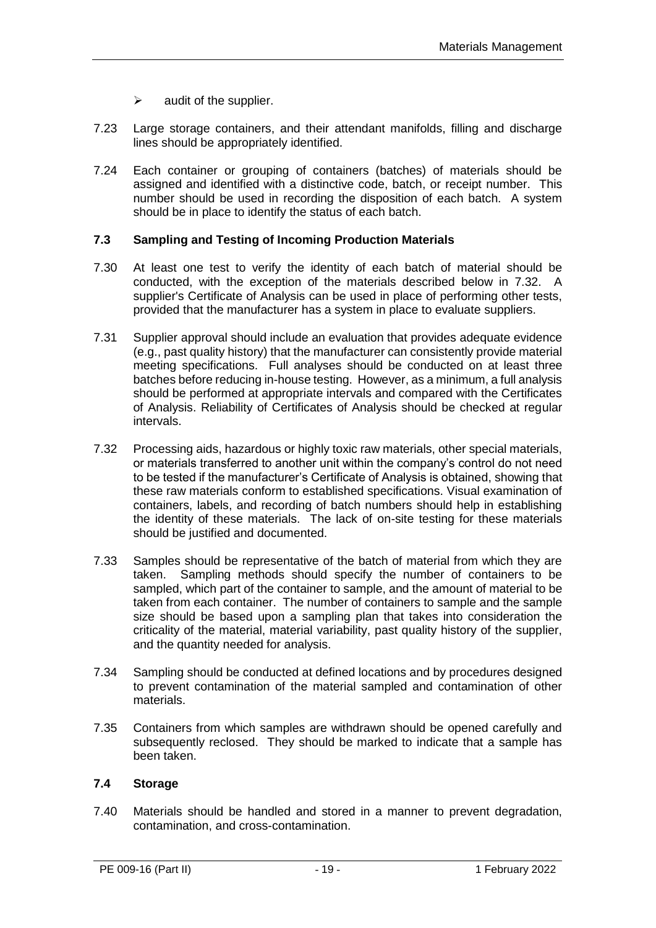- $\triangleright$  audit of the supplier.
- 7.23 Large storage containers, and their attendant manifolds, filling and discharge lines should be appropriately identified.
- 7.24 Each container or grouping of containers (batches) of materials should be assigned and identified with a distinctive code, batch, or receipt number. This number should be used in recording the disposition of each batch. A system should be in place to identify the status of each batch.

# <span id="page-23-0"></span>**7.3 Sampling and Testing of Incoming Production Materials**

- 7.30 At least one test to verify the identity of each batch of material should be conducted, with the exception of the materials described below in 7.32. A supplier's Certificate of Analysis can be used in place of performing other tests, provided that the manufacturer has a system in place to evaluate suppliers.
- 7.31 Supplier approval should include an evaluation that provides adequate evidence (e.g., past quality history) that the manufacturer can consistently provide material meeting specifications. Full analyses should be conducted on at least three batches before reducing in-house testing. However, as a minimum, a full analysis should be performed at appropriate intervals and compared with the Certificates of Analysis. Reliability of Certificates of Analysis should be checked at regular intervals.
- 7.32 Processing aids, hazardous or highly toxic raw materials, other special materials, or materials transferred to another unit within the company's control do not need to be tested if the manufacturer's Certificate of Analysis is obtained, showing that these raw materials conform to established specifications. Visual examination of containers, labels, and recording of batch numbers should help in establishing the identity of these materials. The lack of on-site testing for these materials should be justified and documented.
- 7.33 Samples should be representative of the batch of material from which they are taken. Sampling methods should specify the number of containers to be sampled, which part of the container to sample, and the amount of material to be taken from each container. The number of containers to sample and the sample size should be based upon a sampling plan that takes into consideration the criticality of the material, material variability, past quality history of the supplier, and the quantity needed for analysis.
- 7.34 Sampling should be conducted at defined locations and by procedures designed to prevent contamination of the material sampled and contamination of other materials.
- 7.35 Containers from which samples are withdrawn should be opened carefully and subsequently reclosed. They should be marked to indicate that a sample has been taken.

# <span id="page-23-1"></span>**7.4 Storage**

7.40 Materials should be handled and stored in a manner to prevent degradation, contamination, and cross-contamination.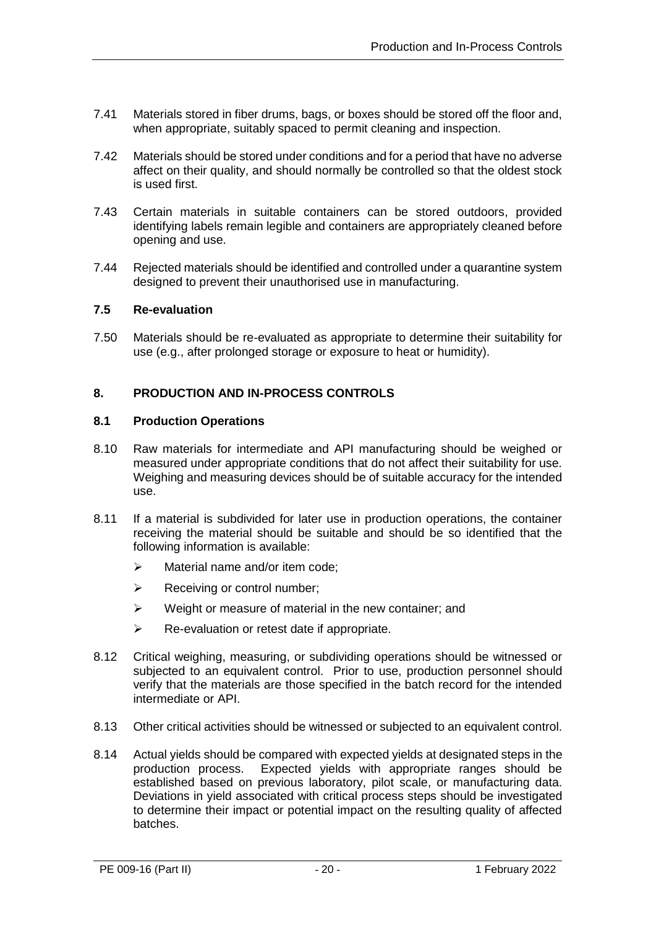- 7.41 Materials stored in fiber drums, bags, or boxes should be stored off the floor and, when appropriate, suitably spaced to permit cleaning and inspection.
- 7.42 Materials should be stored under conditions and for a period that have no adverse affect on their quality, and should normally be controlled so that the oldest stock is used first.
- 7.43 Certain materials in suitable containers can be stored outdoors, provided identifying labels remain legible and containers are appropriately cleaned before opening and use.
- 7.44 Rejected materials should be identified and controlled under a quarantine system designed to prevent their unauthorised use in manufacturing.

#### <span id="page-24-0"></span>**7.5 Re-evaluation**

7.50 Materials should be re-evaluated as appropriate to determine their suitability for use (e.g., after prolonged storage or exposure to heat or humidity).

# <span id="page-24-1"></span>**8. PRODUCTION AND IN-PROCESS CONTROLS**

#### <span id="page-24-2"></span>**8.1 Production Operations**

- 8.10 Raw materials for intermediate and API manufacturing should be weighed or measured under appropriate conditions that do not affect their suitability for use. Weighing and measuring devices should be of suitable accuracy for the intended use.
- 8.11 If a material is subdivided for later use in production operations, the container receiving the material should be suitable and should be so identified that the following information is available:
	- $\triangleright$  Material name and/or item code;
	- $\triangleright$  Receiving or control number;
	- $\triangleright$  Weight or measure of material in the new container; and
	- $\triangleright$  Re-evaluation or retest date if appropriate.
- 8.12 Critical weighing, measuring, or subdividing operations should be witnessed or subjected to an equivalent control. Prior to use, production personnel should verify that the materials are those specified in the batch record for the intended intermediate or API.
- 8.13 Other critical activities should be witnessed or subjected to an equivalent control.
- 8.14 Actual yields should be compared with expected yields at designated steps in the production process. Expected yields with appropriate ranges should be established based on previous laboratory, pilot scale, or manufacturing data. Deviations in yield associated with critical process steps should be investigated to determine their impact or potential impact on the resulting quality of affected batches.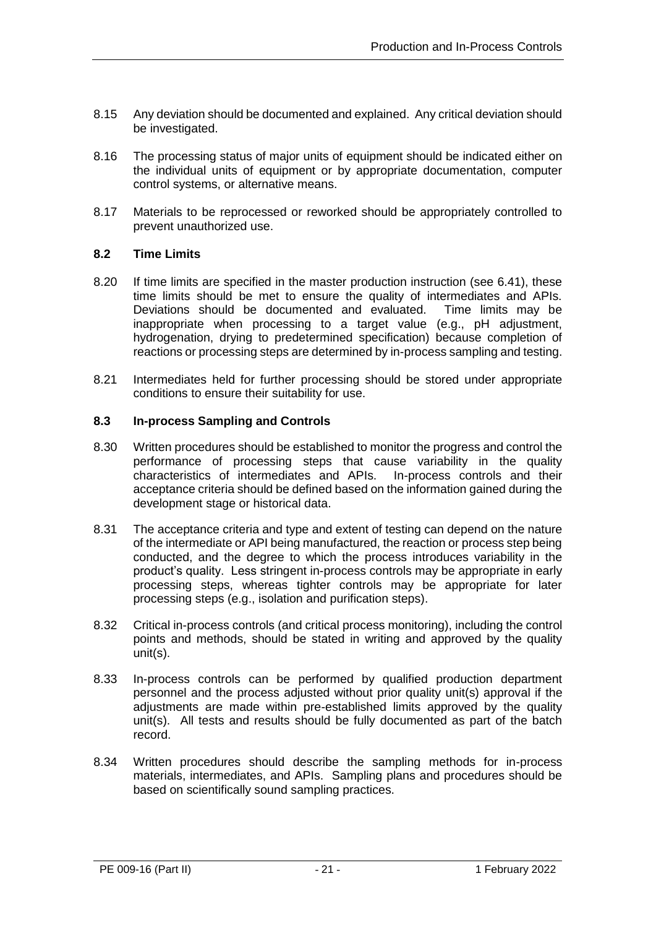- 8.15 Any deviation should be documented and explained. Any critical deviation should be investigated.
- 8.16 The processing status of major units of equipment should be indicated either on the individual units of equipment or by appropriate documentation, computer control systems, or alternative means.
- 8.17 Materials to be reprocessed or reworked should be appropriately controlled to prevent unauthorized use.

#### <span id="page-25-0"></span>**8.2 Time Limits**

- 8.20 If time limits are specified in the master production instruction (see 6.41), these time limits should be met to ensure the quality of intermediates and APIs. Deviations should be documented and evaluated. Time limits may be inappropriate when processing to a target value (e.g., pH adjustment, hydrogenation, drying to predetermined specification) because completion of reactions or processing steps are determined by in-process sampling and testing.
- 8.21 Intermediates held for further processing should be stored under appropriate conditions to ensure their suitability for use.

#### <span id="page-25-1"></span>**8.3 In-process Sampling and Controls**

- 8.30 Written procedures should be established to monitor the progress and control the performance of processing steps that cause variability in the quality characteristics of intermediates and APIs. In-process controls and their acceptance criteria should be defined based on the information gained during the development stage or historical data.
- 8.31 The acceptance criteria and type and extent of testing can depend on the nature of the intermediate or API being manufactured, the reaction or process step being conducted, and the degree to which the process introduces variability in the product's quality. Less stringent in-process controls may be appropriate in early processing steps, whereas tighter controls may be appropriate for later processing steps (e.g., isolation and purification steps).
- 8.32 Critical in-process controls (and critical process monitoring), including the control points and methods, should be stated in writing and approved by the quality unit(s).
- 8.33 In-process controls can be performed by qualified production department personnel and the process adjusted without prior quality unit(s) approval if the adjustments are made within pre-established limits approved by the quality unit(s). All tests and results should be fully documented as part of the batch record.
- 8.34 Written procedures should describe the sampling methods for in-process materials, intermediates, and APIs. Sampling plans and procedures should be based on scientifically sound sampling practices.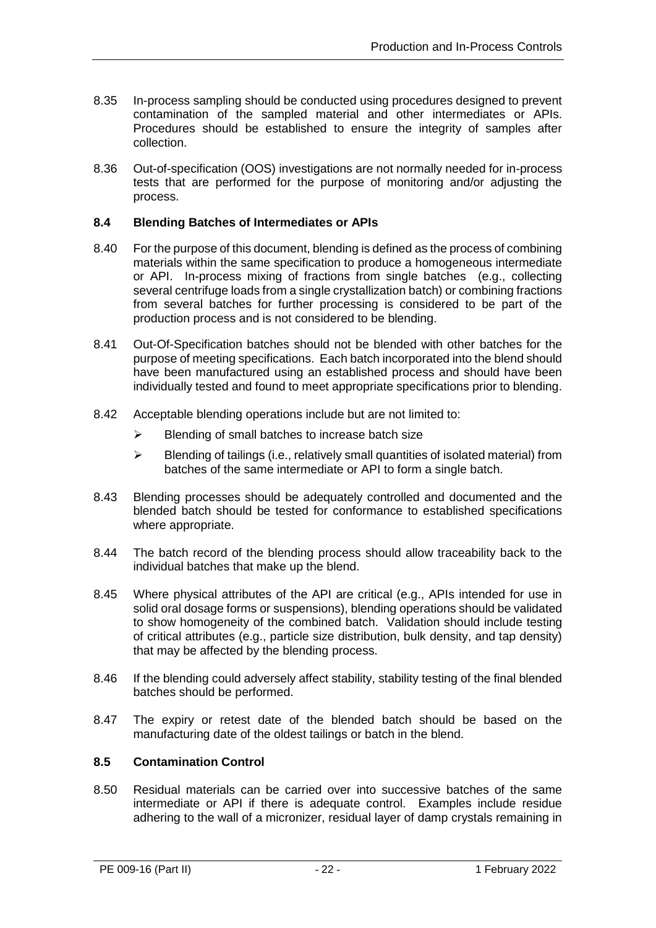- 8.35 In-process sampling should be conducted using procedures designed to prevent contamination of the sampled material and other intermediates or APIs. Procedures should be established to ensure the integrity of samples after collection.
- 8.36 Out-of-specification (OOS) investigations are not normally needed for in-process tests that are performed for the purpose of monitoring and/or adjusting the process.

# <span id="page-26-0"></span>**8.4 Blending Batches of Intermediates or APIs**

- 8.40 For the purpose of this document, blending is defined as the process of combining materials within the same specification to produce a homogeneous intermediate or API. In-process mixing of fractions from single batches (e.g., collecting several centrifuge loads from a single crystallization batch) or combining fractions from several batches for further processing is considered to be part of the production process and is not considered to be blending.
- 8.41 Out-Of-Specification batches should not be blended with other batches for the purpose of meeting specifications. Each batch incorporated into the blend should have been manufactured using an established process and should have been individually tested and found to meet appropriate specifications prior to blending.
- 8.42 Acceptable blending operations include but are not limited to:
	- $\triangleright$  Blending of small batches to increase batch size
	- $\triangleright$  Blending of tailings (i.e., relatively small quantities of isolated material) from batches of the same intermediate or API to form a single batch.
- 8.43 Blending processes should be adequately controlled and documented and the blended batch should be tested for conformance to established specifications where appropriate.
- 8.44 The batch record of the blending process should allow traceability back to the individual batches that make up the blend.
- 8.45 Where physical attributes of the API are critical (e.g., APIs intended for use in solid oral dosage forms or suspensions), blending operations should be validated to show homogeneity of the combined batch. Validation should include testing of critical attributes (e.g., particle size distribution, bulk density, and tap density) that may be affected by the blending process.
- 8.46 If the blending could adversely affect stability, stability testing of the final blended batches should be performed.
- 8.47 The expiry or retest date of the blended batch should be based on the manufacturing date of the oldest tailings or batch in the blend.

# <span id="page-26-1"></span>**8.5 Contamination Control**

8.50 Residual materials can be carried over into successive batches of the same intermediate or API if there is adequate control. Examples include residue adhering to the wall of a micronizer, residual layer of damp crystals remaining in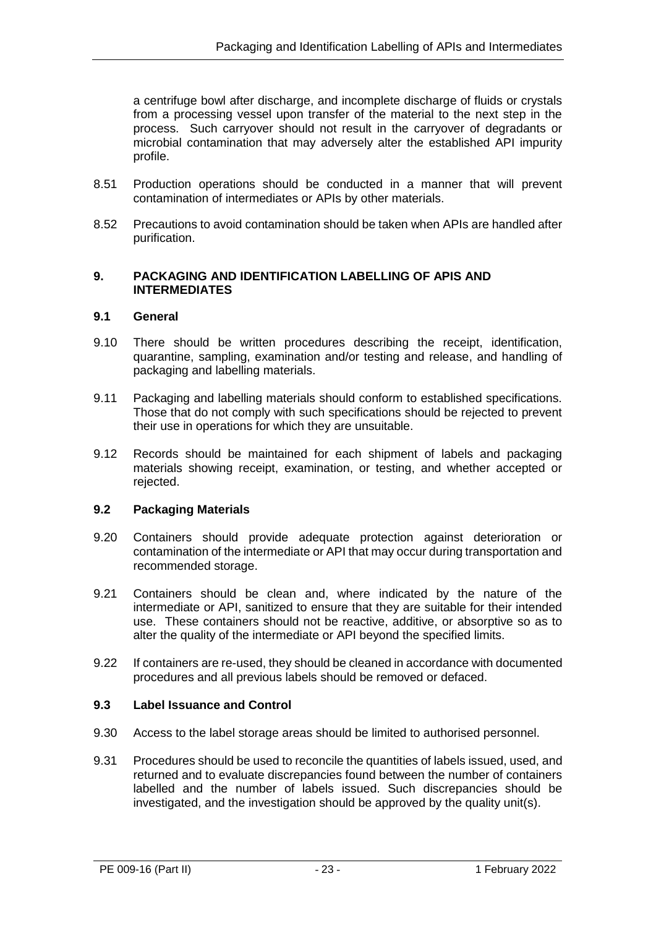a centrifuge bowl after discharge, and incomplete discharge of fluids or crystals from a processing vessel upon transfer of the material to the next step in the process. Such carryover should not result in the carryover of degradants or microbial contamination that may adversely alter the established API impurity profile.

- 8.51 Production operations should be conducted in a manner that will prevent contamination of intermediates or APIs by other materials.
- 8.52 Precautions to avoid contamination should be taken when APIs are handled after purification.

#### <span id="page-27-0"></span>**9. PACKAGING AND IDENTIFICATION LABELLING OF APIS AND INTERMEDIATES**

#### <span id="page-27-1"></span>**9.1 General**

- 9.10 There should be written procedures describing the receipt, identification, quarantine, sampling, examination and/or testing and release, and handling of packaging and labelling materials.
- 9.11 Packaging and labelling materials should conform to established specifications. Those that do not comply with such specifications should be rejected to prevent their use in operations for which they are unsuitable.
- 9.12 Records should be maintained for each shipment of labels and packaging materials showing receipt, examination, or testing, and whether accepted or rejected.

#### <span id="page-27-2"></span>**9.2 Packaging Materials**

- 9.20 Containers should provide adequate protection against deterioration or contamination of the intermediate or API that may occur during transportation and recommended storage.
- 9.21 Containers should be clean and, where indicated by the nature of the intermediate or API, sanitized to ensure that they are suitable for their intended use. These containers should not be reactive, additive, or absorptive so as to alter the quality of the intermediate or API beyond the specified limits.
- 9.22 If containers are re-used, they should be cleaned in accordance with documented procedures and all previous labels should be removed or defaced.

#### <span id="page-27-3"></span>**9.3 Label Issuance and Control**

- 9.30 Access to the label storage areas should be limited to authorised personnel.
- 9.31 Procedures should be used to reconcile the quantities of labels issued, used, and returned and to evaluate discrepancies found between the number of containers labelled and the number of labels issued. Such discrepancies should be investigated, and the investigation should be approved by the quality unit(s).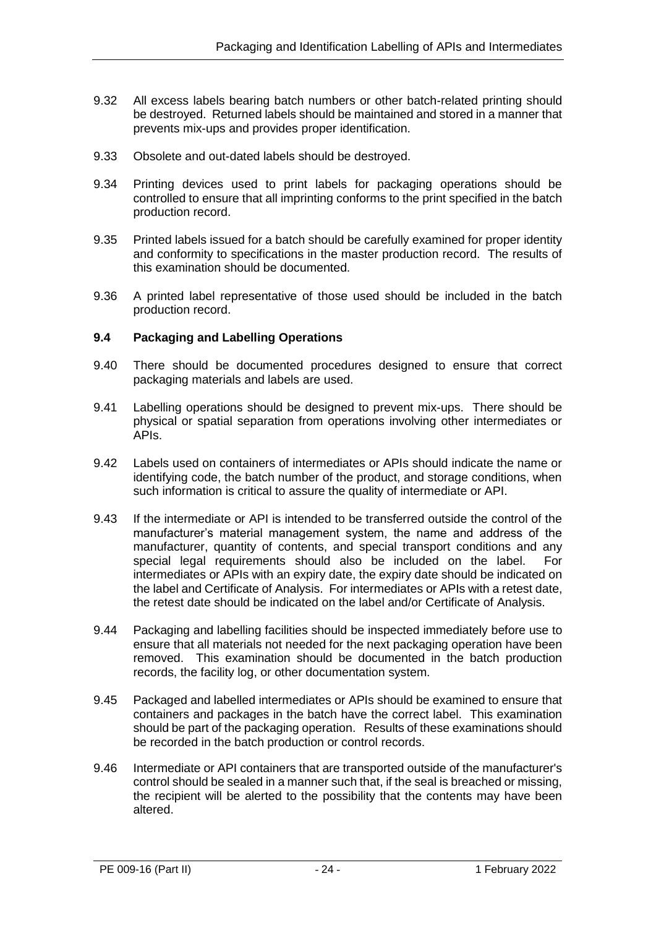- 9.32 All excess labels bearing batch numbers or other batch-related printing should be destroyed. Returned labels should be maintained and stored in a manner that prevents mix-ups and provides proper identification.
- 9.33 Obsolete and out-dated labels should be destroyed.
- 9.34 Printing devices used to print labels for packaging operations should be controlled to ensure that all imprinting conforms to the print specified in the batch production record.
- 9.35 Printed labels issued for a batch should be carefully examined for proper identity and conformity to specifications in the master production record. The results of this examination should be documented.
- 9.36 A printed label representative of those used should be included in the batch production record.

#### <span id="page-28-0"></span>**9.4 Packaging and Labelling Operations**

- 9.40 There should be documented procedures designed to ensure that correct packaging materials and labels are used.
- 9.41 Labelling operations should be designed to prevent mix-ups. There should be physical or spatial separation from operations involving other intermediates or APIs.
- 9.42 Labels used on containers of intermediates or APIs should indicate the name or identifying code, the batch number of the product, and storage conditions, when such information is critical to assure the quality of intermediate or API.
- 9.43 If the intermediate or API is intended to be transferred outside the control of the manufacturer's material management system, the name and address of the manufacturer, quantity of contents, and special transport conditions and any special legal requirements should also be included on the label. For intermediates or APIs with an expiry date, the expiry date should be indicated on the label and Certificate of Analysis. For intermediates or APIs with a retest date, the retest date should be indicated on the label and/or Certificate of Analysis.
- 9.44 Packaging and labelling facilities should be inspected immediately before use to ensure that all materials not needed for the next packaging operation have been removed. This examination should be documented in the batch production records, the facility log, or other documentation system.
- 9.45 Packaged and labelled intermediates or APIs should be examined to ensure that containers and packages in the batch have the correct label. This examination should be part of the packaging operation. Results of these examinations should be recorded in the batch production or control records.
- 9.46 Intermediate or API containers that are transported outside of the manufacturer's control should be sealed in a manner such that, if the seal is breached or missing, the recipient will be alerted to the possibility that the contents may have been altered.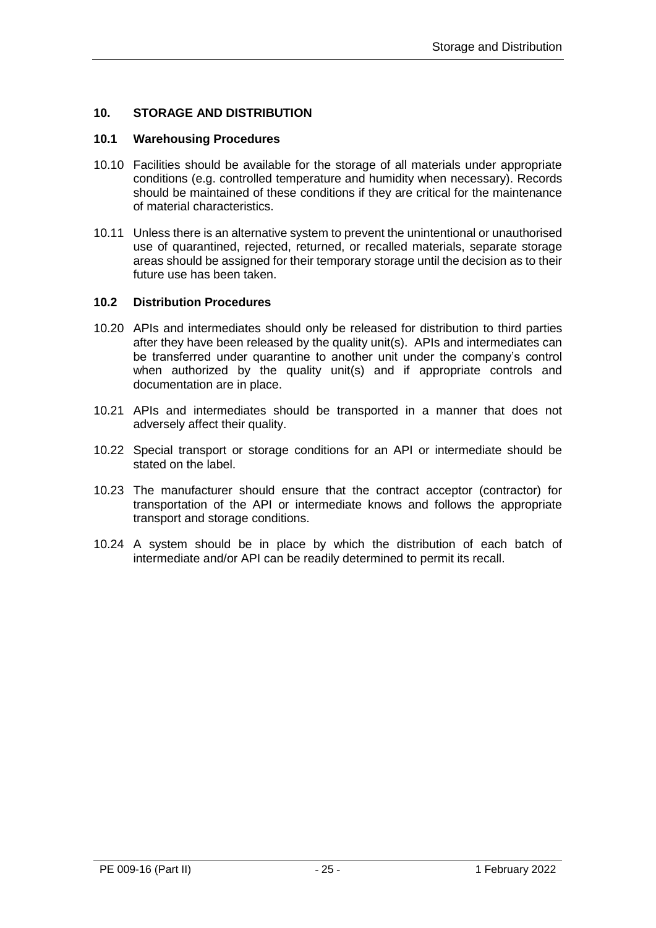# <span id="page-29-0"></span>**10. STORAGE AND DISTRIBUTION**

#### <span id="page-29-1"></span>**10.1 Warehousing Procedures**

- 10.10 Facilities should be available for the storage of all materials under appropriate conditions (e.g. controlled temperature and humidity when necessary). Records should be maintained of these conditions if they are critical for the maintenance of material characteristics.
- 10.11 Unless there is an alternative system to prevent the unintentional or unauthorised use of quarantined, rejected, returned, or recalled materials, separate storage areas should be assigned for their temporary storage until the decision as to their future use has been taken.

# <span id="page-29-2"></span>**10.2 Distribution Procedures**

- 10.20 APIs and intermediates should only be released for distribution to third parties after they have been released by the quality unit(s). APIs and intermediates can be transferred under quarantine to another unit under the company's control when authorized by the quality unit(s) and if appropriate controls and documentation are in place.
- 10.21 APIs and intermediates should be transported in a manner that does not adversely affect their quality.
- 10.22 Special transport or storage conditions for an API or intermediate should be stated on the label.
- 10.23 The manufacturer should ensure that the contract acceptor (contractor) for transportation of the API or intermediate knows and follows the appropriate transport and storage conditions.
- 10.24 A system should be in place by which the distribution of each batch of intermediate and/or API can be readily determined to permit its recall.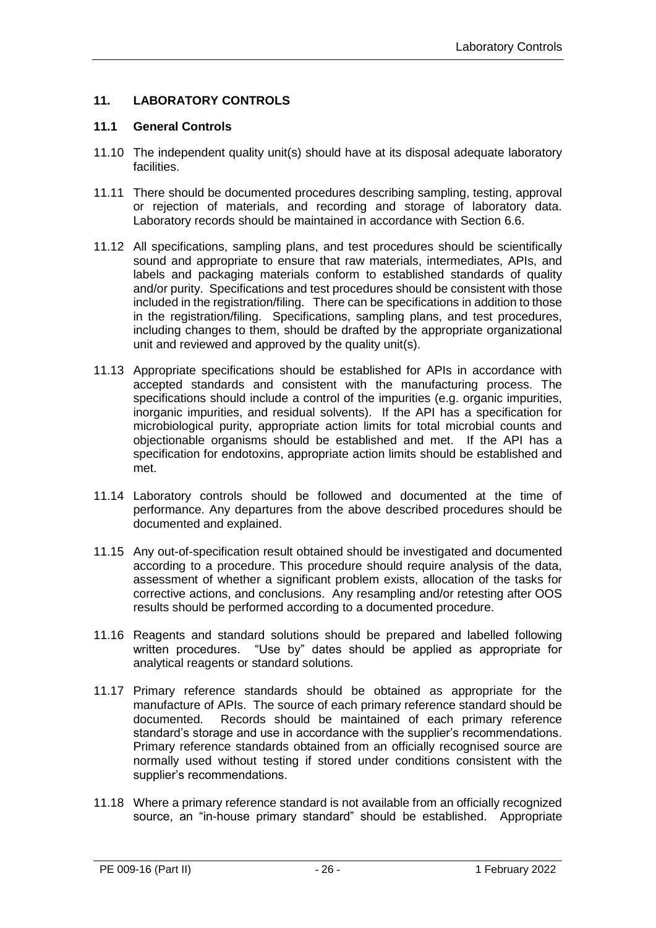# <span id="page-30-0"></span>**11. LABORATORY CONTROLS**

# <span id="page-30-1"></span>**11.1 General Controls**

- 11.10 The independent quality unit(s) should have at its disposal adequate laboratory facilities.
- 11.11 There should be documented procedures describing sampling, testing, approval or rejection of materials, and recording and storage of laboratory data. Laboratory records should be maintained in accordance with Section 6.6.
- 11.12 All specifications, sampling plans, and test procedures should be scientifically sound and appropriate to ensure that raw materials, intermediates, APIs, and labels and packaging materials conform to established standards of quality and/or purity. Specifications and test procedures should be consistent with those included in the registration/filing. There can be specifications in addition to those in the registration/filing. Specifications, sampling plans, and test procedures, including changes to them, should be drafted by the appropriate organizational unit and reviewed and approved by the quality unit(s).
- 11.13 Appropriate specifications should be established for APIs in accordance with accepted standards and consistent with the manufacturing process. The specifications should include a control of the impurities (e.g. organic impurities, inorganic impurities, and residual solvents). If the API has a specification for microbiological purity, appropriate action limits for total microbial counts and objectionable organisms should be established and met. If the API has a specification for endotoxins, appropriate action limits should be established and met.
- 11.14 Laboratory controls should be followed and documented at the time of performance. Any departures from the above described procedures should be documented and explained.
- 11.15 Any out-of-specification result obtained should be investigated and documented according to a procedure. This procedure should require analysis of the data, assessment of whether a significant problem exists, allocation of the tasks for corrective actions, and conclusions. Any resampling and/or retesting after OOS results should be performed according to a documented procedure.
- 11.16 Reagents and standard solutions should be prepared and labelled following written procedures. "Use by" dates should be applied as appropriate for analytical reagents or standard solutions.
- 11.17 Primary reference standards should be obtained as appropriate for the manufacture of APIs. The source of each primary reference standard should be documented. Records should be maintained of each primary reference standard's storage and use in accordance with the supplier's recommendations. Primary reference standards obtained from an officially recognised source are normally used without testing if stored under conditions consistent with the supplier's recommendations.
- 11.18 Where a primary reference standard is not available from an officially recognized source, an "in-house primary standard" should be established. Appropriate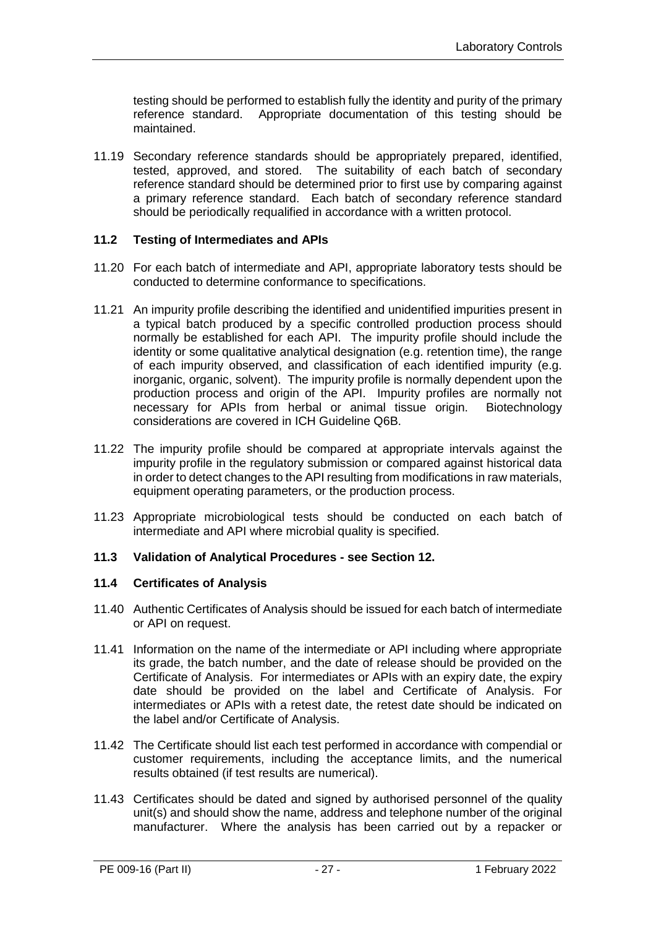testing should be performed to establish fully the identity and purity of the primary reference standard. Appropriate documentation of this testing should be maintained.

11.19 Secondary reference standards should be appropriately prepared, identified, tested, approved, and stored. The suitability of each batch of secondary reference standard should be determined prior to first use by comparing against a primary reference standard. Each batch of secondary reference standard should be periodically requalified in accordance with a written protocol.

# <span id="page-31-0"></span>**11.2 Testing of Intermediates and APIs**

- 11.20 For each batch of intermediate and API, appropriate laboratory tests should be conducted to determine conformance to specifications.
- 11.21 An impurity profile describing the identified and unidentified impurities present in a typical batch produced by a specific controlled production process should normally be established for each API. The impurity profile should include the identity or some qualitative analytical designation (e.g. retention time), the range of each impurity observed, and classification of each identified impurity (e.g. inorganic, organic, solvent). The impurity profile is normally dependent upon the production process and origin of the API. Impurity profiles are normally not necessary for APIs from herbal or animal tissue origin. Biotechnology considerations are covered in ICH Guideline Q6B.
- 11.22 The impurity profile should be compared at appropriate intervals against the impurity profile in the regulatory submission or compared against historical data in order to detect changes to the API resulting from modifications in raw materials, equipment operating parameters, or the production process.
- 11.23 Appropriate microbiological tests should be conducted on each batch of intermediate and API where microbial quality is specified.

#### <span id="page-31-1"></span>**11.3 Validation of Analytical Procedures - see Section 12.**

#### <span id="page-31-2"></span>**11.4 Certificates of Analysis**

- 11.40 Authentic Certificates of Analysis should be issued for each batch of intermediate or API on request.
- 11.41 Information on the name of the intermediate or API including where appropriate its grade, the batch number, and the date of release should be provided on the Certificate of Analysis. For intermediates or APIs with an expiry date, the expiry date should be provided on the label and Certificate of Analysis. For intermediates or APIs with a retest date, the retest date should be indicated on the label and/or Certificate of Analysis.
- 11.42 The Certificate should list each test performed in accordance with compendial or customer requirements, including the acceptance limits, and the numerical results obtained (if test results are numerical).
- 11.43 Certificates should be dated and signed by authorised personnel of the quality unit(s) and should show the name, address and telephone number of the original manufacturer. Where the analysis has been carried out by a repacker or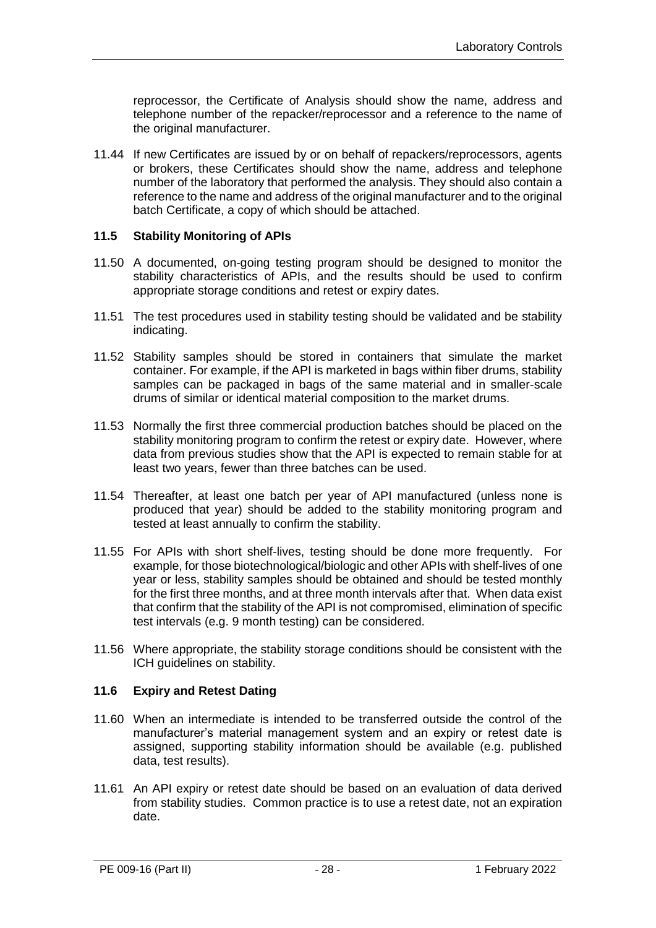reprocessor, the Certificate of Analysis should show the name, address and telephone number of the repacker/reprocessor and a reference to the name of the original manufacturer.

11.44 If new Certificates are issued by or on behalf of repackers/reprocessors, agents or brokers, these Certificates should show the name, address and telephone number of the laboratory that performed the analysis. They should also contain a reference to the name and address of the original manufacturer and to the original batch Certificate, a copy of which should be attached.

#### <span id="page-32-0"></span>**11.5 Stability Monitoring of APIs**

- 11.50 A documented, on-going testing program should be designed to monitor the stability characteristics of APIs, and the results should be used to confirm appropriate storage conditions and retest or expiry dates.
- 11.51 The test procedures used in stability testing should be validated and be stability indicating.
- 11.52 Stability samples should be stored in containers that simulate the market container. For example, if the API is marketed in bags within fiber drums, stability samples can be packaged in bags of the same material and in smaller-scale drums of similar or identical material composition to the market drums.
- 11.53 Normally the first three commercial production batches should be placed on the stability monitoring program to confirm the retest or expiry date. However, where data from previous studies show that the API is expected to remain stable for at least two years, fewer than three batches can be used.
- 11.54 Thereafter, at least one batch per year of API manufactured (unless none is produced that year) should be added to the stability monitoring program and tested at least annually to confirm the stability.
- 11.55 For APIs with short shelf-lives, testing should be done more frequently. For example, for those biotechnological/biologic and other APIs with shelf-lives of one year or less, stability samples should be obtained and should be tested monthly for the first three months, and at three month intervals after that. When data exist that confirm that the stability of the API is not compromised, elimination of specific test intervals (e.g. 9 month testing) can be considered.
- 11.56 Where appropriate, the stability storage conditions should be consistent with the ICH guidelines on stability.

# <span id="page-32-1"></span>**11.6 Expiry and Retest Dating**

- 11.60 When an intermediate is intended to be transferred outside the control of the manufacturer's material management system and an expiry or retest date is assigned, supporting stability information should be available (e.g. published data, test results).
- 11.61 An API expiry or retest date should be based on an evaluation of data derived from stability studies. Common practice is to use a retest date, not an expiration date.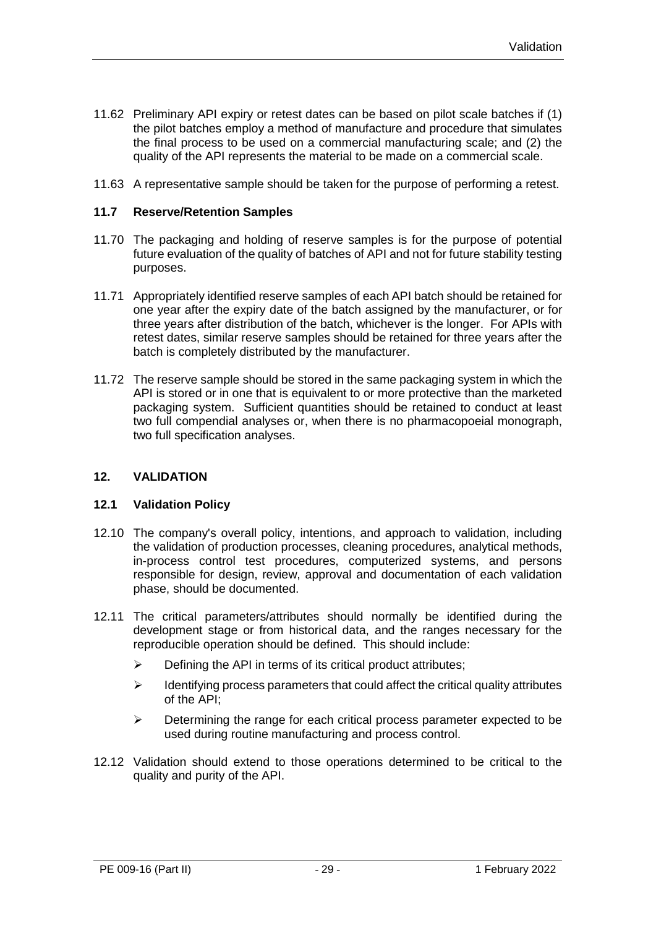- 11.62 Preliminary API expiry or retest dates can be based on pilot scale batches if (1) the pilot batches employ a method of manufacture and procedure that simulates the final process to be used on a commercial manufacturing scale; and (2) the quality of the API represents the material to be made on a commercial scale.
- 11.63 A representative sample should be taken for the purpose of performing a retest.

#### <span id="page-33-0"></span>**11.7 Reserve/Retention Samples**

- 11.70 The packaging and holding of reserve samples is for the purpose of potential future evaluation of the quality of batches of API and not for future stability testing purposes.
- 11.71 Appropriately identified reserve samples of each API batch should be retained for one year after the expiry date of the batch assigned by the manufacturer, or for three years after distribution of the batch, whichever is the longer. For APIs with retest dates, similar reserve samples should be retained for three years after the batch is completely distributed by the manufacturer.
- 11.72 The reserve sample should be stored in the same packaging system in which the API is stored or in one that is equivalent to or more protective than the marketed packaging system. Sufficient quantities should be retained to conduct at least two full compendial analyses or, when there is no pharmacopoeial monograph, two full specification analyses.

#### <span id="page-33-1"></span>**12. VALIDATION**

#### <span id="page-33-2"></span>**12.1 Validation Policy**

- 12.10 The company's overall policy, intentions, and approach to validation, including the validation of production processes, cleaning procedures, analytical methods, in-process control test procedures, computerized systems, and persons responsible for design, review, approval and documentation of each validation phase, should be documented.
- 12.11 The critical parameters/attributes should normally be identified during the development stage or from historical data, and the ranges necessary for the reproducible operation should be defined. This should include:
	- $\triangleright$  Defining the API in terms of its critical product attributes;
	- $\triangleright$  Identifying process parameters that could affect the critical quality attributes of the API;
	- $\triangleright$  Determining the range for each critical process parameter expected to be used during routine manufacturing and process control.
- <span id="page-33-3"></span>12.12 Validation should extend to those operations determined to be critical to the quality and purity of the API.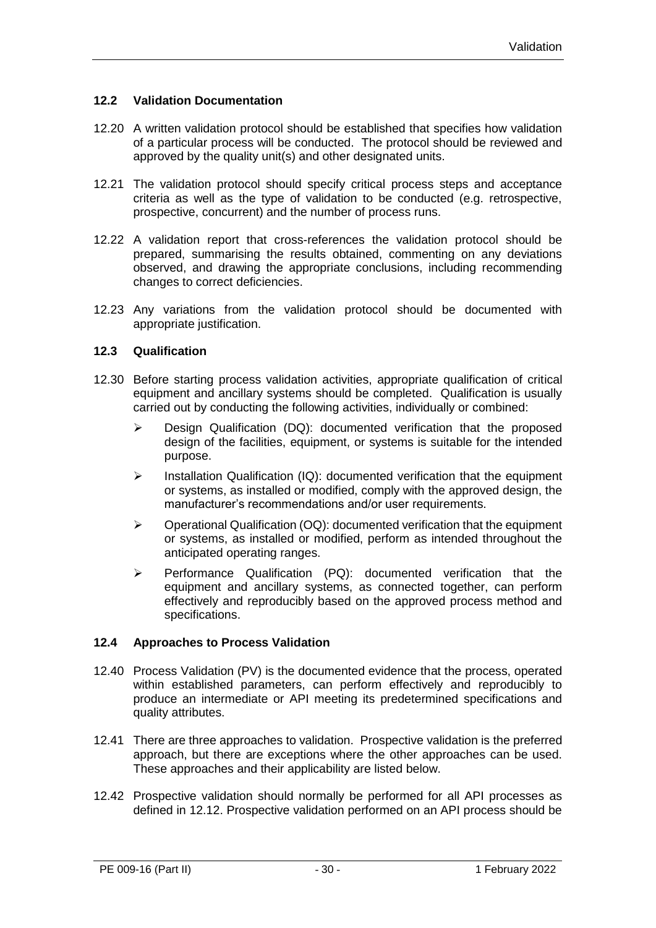# **12.2 Validation Documentation**

- 12.20 A written validation protocol should be established that specifies how validation of a particular process will be conducted. The protocol should be reviewed and approved by the quality unit(s) and other designated units.
- 12.21 The validation protocol should specify critical process steps and acceptance criteria as well as the type of validation to be conducted (e.g. retrospective, prospective, concurrent) and the number of process runs.
- 12.22 A validation report that cross-references the validation protocol should be prepared, summarising the results obtained, commenting on any deviations observed, and drawing the appropriate conclusions, including recommending changes to correct deficiencies.
- 12.23 Any variations from the validation protocol should be documented with appropriate justification.

#### <span id="page-34-0"></span>**12.3 Qualification**

- 12.30 Before starting process validation activities, appropriate qualification of critical equipment and ancillary systems should be completed. Qualification is usually carried out by conducting the following activities, individually or combined:
	- > Design Qualification (DQ): documented verification that the proposed design of the facilities, equipment, or systems is suitable for the intended purpose.
	- $\triangleright$  Installation Qualification (IQ): documented verification that the equipment or systems, as installed or modified, comply with the approved design, the manufacturer's recommendations and/or user requirements.
	- $\triangleright$  Operational Qualification (OQ): documented verification that the equipment or systems, as installed or modified, perform as intended throughout the anticipated operating ranges.
	- $\triangleright$  Performance Qualification (PQ): documented verification that the equipment and ancillary systems, as connected together, can perform effectively and reproducibly based on the approved process method and specifications.

# <span id="page-34-1"></span>**12.4 Approaches to Process Validation**

- 12.40 Process Validation (PV) is the documented evidence that the process, operated within established parameters, can perform effectively and reproducibly to produce an intermediate or API meeting its predetermined specifications and quality attributes.
- 12.41 There are three approaches to validation. Prospective validation is the preferred approach, but there are exceptions where the other approaches can be used. These approaches and their applicability are listed below.
- 12.42 Prospective validation should normally be performed for all API processes as defined in 12.12. Prospective validation performed on an API process should be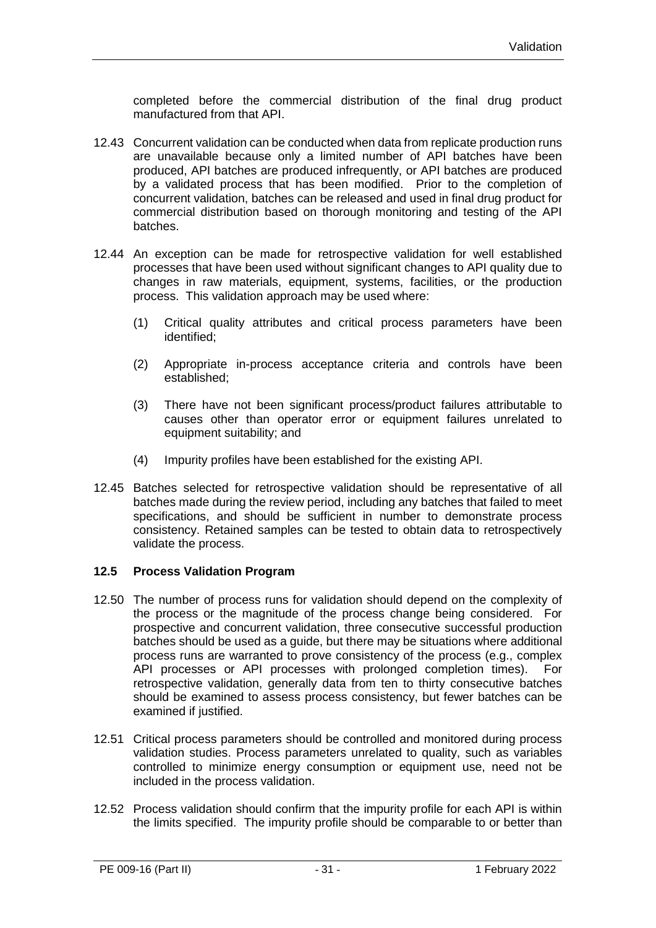completed before the commercial distribution of the final drug product manufactured from that API.

- 12.43 Concurrent validation can be conducted when data from replicate production runs are unavailable because only a limited number of API batches have been produced, API batches are produced infrequently, or API batches are produced by a validated process that has been modified. Prior to the completion of concurrent validation, batches can be released and used in final drug product for commercial distribution based on thorough monitoring and testing of the API batches.
- 12.44 An exception can be made for retrospective validation for well established processes that have been used without significant changes to API quality due to changes in raw materials, equipment, systems, facilities, or the production process. This validation approach may be used where:
	- (1) Critical quality attributes and critical process parameters have been identified;
	- (2) Appropriate in-process acceptance criteria and controls have been established;
	- (3) There have not been significant process/product failures attributable to causes other than operator error or equipment failures unrelated to equipment suitability; and
	- (4) Impurity profiles have been established for the existing API.
- 12.45 Batches selected for retrospective validation should be representative of all batches made during the review period, including any batches that failed to meet specifications, and should be sufficient in number to demonstrate process consistency. Retained samples can be tested to obtain data to retrospectively validate the process.

# <span id="page-35-0"></span>**12.5 Process Validation Program**

- 12.50 The number of process runs for validation should depend on the complexity of the process or the magnitude of the process change being considered. For prospective and concurrent validation, three consecutive successful production batches should be used as a guide, but there may be situations where additional process runs are warranted to prove consistency of the process (e.g., complex API processes or API processes with prolonged completion times). For retrospective validation, generally data from ten to thirty consecutive batches should be examined to assess process consistency, but fewer batches can be examined if justified.
- 12.51 Critical process parameters should be controlled and monitored during process validation studies. Process parameters unrelated to quality, such as variables controlled to minimize energy consumption or equipment use, need not be included in the process validation.
- 12.52 Process validation should confirm that the impurity profile for each API is within the limits specified. The impurity profile should be comparable to or better than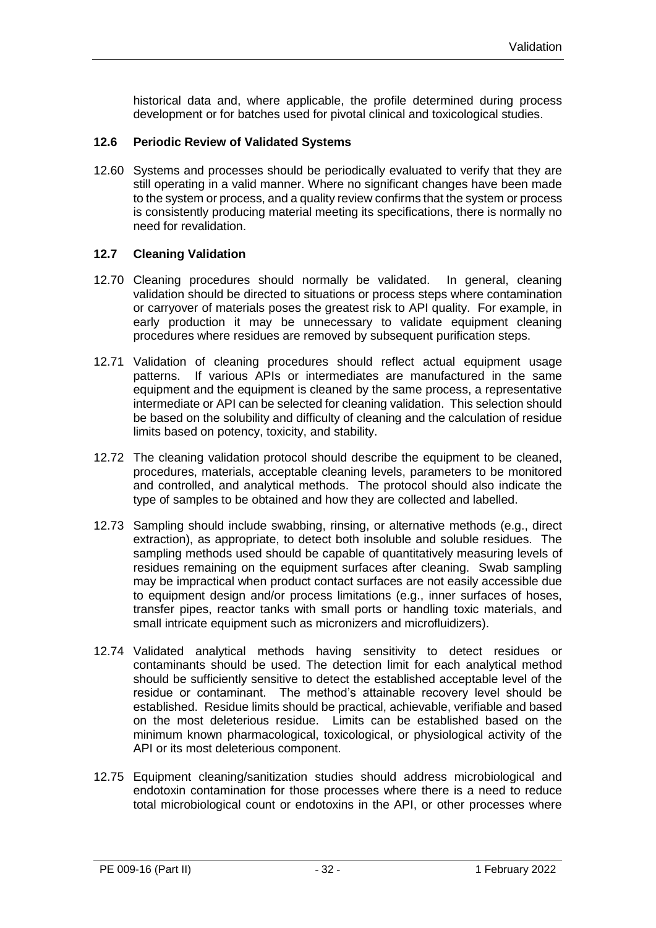historical data and, where applicable, the profile determined during process development or for batches used for pivotal clinical and toxicological studies.

# <span id="page-36-0"></span>**12.6 Periodic Review of Validated Systems**

12.60 Systems and processes should be periodically evaluated to verify that they are still operating in a valid manner. Where no significant changes have been made to the system or process, and a quality review confirms that the system or process is consistently producing material meeting its specifications, there is normally no need for revalidation.

# <span id="page-36-1"></span>**12.7 Cleaning Validation**

- 12.70 Cleaning procedures should normally be validated. In general, cleaning validation should be directed to situations or process steps where contamination or carryover of materials poses the greatest risk to API quality. For example, in early production it may be unnecessary to validate equipment cleaning procedures where residues are removed by subsequent purification steps.
- 12.71 Validation of cleaning procedures should reflect actual equipment usage patterns. If various APIs or intermediates are manufactured in the same equipment and the equipment is cleaned by the same process, a representative intermediate or API can be selected for cleaning validation. This selection should be based on the solubility and difficulty of cleaning and the calculation of residue limits based on potency, toxicity, and stability.
- 12.72 The cleaning validation protocol should describe the equipment to be cleaned, procedures, materials, acceptable cleaning levels, parameters to be monitored and controlled, and analytical methods. The protocol should also indicate the type of samples to be obtained and how they are collected and labelled.
- 12.73 Sampling should include swabbing, rinsing, or alternative methods (e.g., direct extraction), as appropriate, to detect both insoluble and soluble residues. The sampling methods used should be capable of quantitatively measuring levels of residues remaining on the equipment surfaces after cleaning. Swab sampling may be impractical when product contact surfaces are not easily accessible due to equipment design and/or process limitations (e.g., inner surfaces of hoses, transfer pipes, reactor tanks with small ports or handling toxic materials, and small intricate equipment such as micronizers and microfluidizers).
- 12.74 Validated analytical methods having sensitivity to detect residues or contaminants should be used. The detection limit for each analytical method should be sufficiently sensitive to detect the established acceptable level of the residue or contaminant. The method's attainable recovery level should be established. Residue limits should be practical, achievable, verifiable and based on the most deleterious residue. Limits can be established based on the minimum known pharmacological, toxicological, or physiological activity of the API or its most deleterious component.
- 12.75 Equipment cleaning/sanitization studies should address microbiological and endotoxin contamination for those processes where there is a need to reduce total microbiological count or endotoxins in the API, or other processes where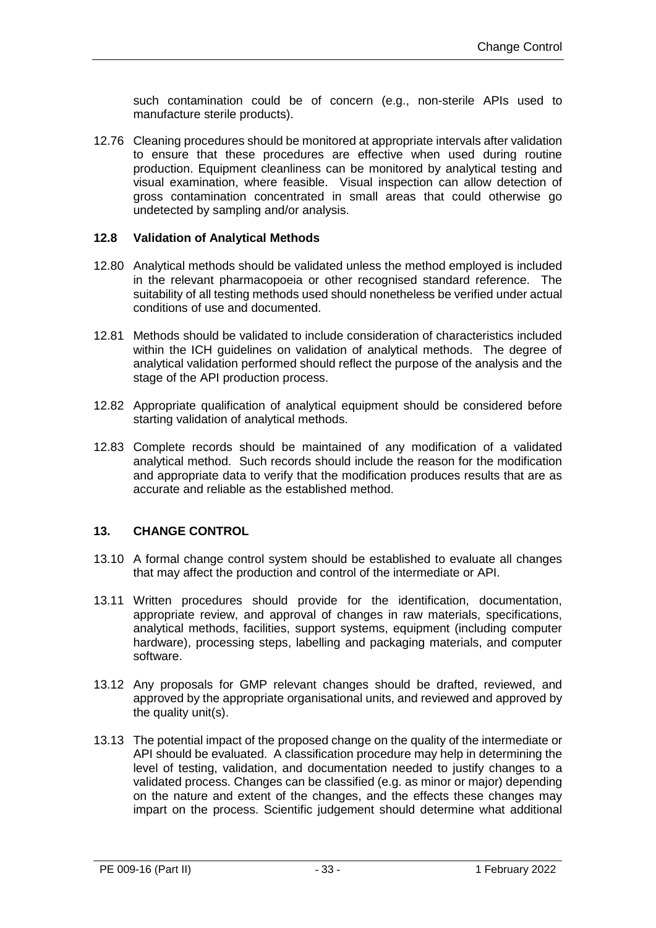such contamination could be of concern (e.g., non-sterile APIs used to manufacture sterile products).

12.76 Cleaning procedures should be monitored at appropriate intervals after validation to ensure that these procedures are effective when used during routine production. Equipment cleanliness can be monitored by analytical testing and visual examination, where feasible. Visual inspection can allow detection of gross contamination concentrated in small areas that could otherwise go undetected by sampling and/or analysis.

#### <span id="page-37-0"></span>**12.8 Validation of Analytical Methods**

- 12.80 Analytical methods should be validated unless the method employed is included in the relevant pharmacopoeia or other recognised standard reference. The suitability of all testing methods used should nonetheless be verified under actual conditions of use and documented.
- 12.81 Methods should be validated to include consideration of characteristics included within the ICH guidelines on validation of analytical methods. The degree of analytical validation performed should reflect the purpose of the analysis and the stage of the API production process.
- 12.82 Appropriate qualification of analytical equipment should be considered before starting validation of analytical methods.
- 12.83 Complete records should be maintained of any modification of a validated analytical method. Such records should include the reason for the modification and appropriate data to verify that the modification produces results that are as accurate and reliable as the established method.

# <span id="page-37-1"></span>**13. CHANGE CONTROL**

- 13.10 A formal change control system should be established to evaluate all changes that may affect the production and control of the intermediate or API.
- 13.11 Written procedures should provide for the identification, documentation, appropriate review, and approval of changes in raw materials, specifications, analytical methods, facilities, support systems, equipment (including computer hardware), processing steps, labelling and packaging materials, and computer software.
- 13.12 Any proposals for GMP relevant changes should be drafted, reviewed, and approved by the appropriate organisational units, and reviewed and approved by the quality unit(s).
- 13.13 The potential impact of the proposed change on the quality of the intermediate or API should be evaluated. A classification procedure may help in determining the level of testing, validation, and documentation needed to justify changes to a validated process. Changes can be classified (e.g. as minor or major) depending on the nature and extent of the changes, and the effects these changes may impart on the process. Scientific judgement should determine what additional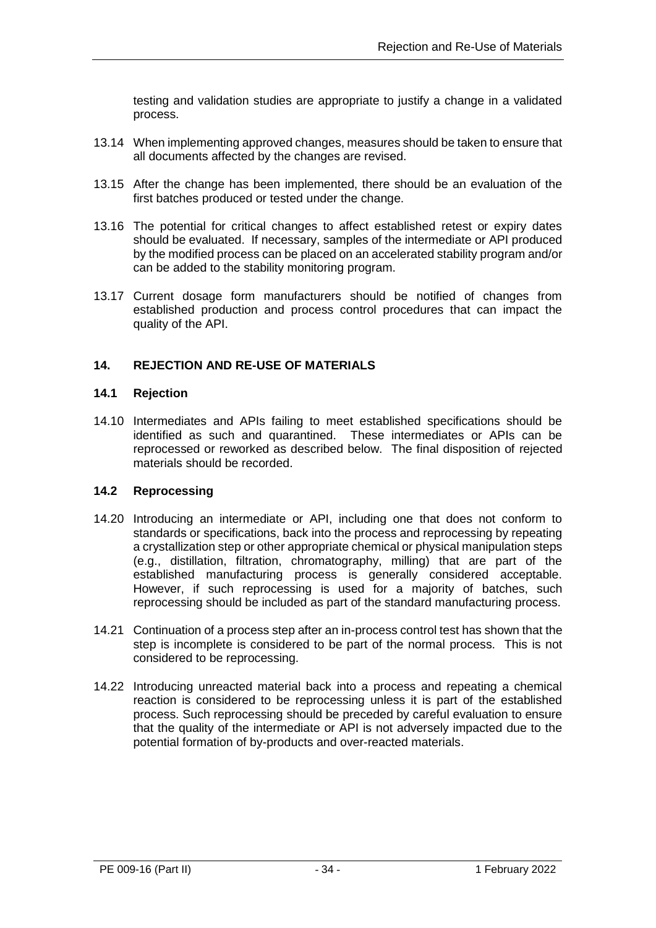testing and validation studies are appropriate to justify a change in a validated process.

- 13.14 When implementing approved changes, measures should be taken to ensure that all documents affected by the changes are revised.
- 13.15 After the change has been implemented, there should be an evaluation of the first batches produced or tested under the change.
- 13.16 The potential for critical changes to affect established retest or expiry dates should be evaluated. If necessary, samples of the intermediate or API produced by the modified process can be placed on an accelerated stability program and/or can be added to the stability monitoring program.
- 13.17 Current dosage form manufacturers should be notified of changes from established production and process control procedures that can impact the quality of the API.

# <span id="page-38-0"></span>**14. REJECTION AND RE-USE OF MATERIALS**

#### <span id="page-38-1"></span>**14.1 Rejection**

14.10 Intermediates and APIs failing to meet established specifications should be identified as such and quarantined. These intermediates or APIs can be reprocessed or reworked as described below. The final disposition of rejected materials should be recorded.

# <span id="page-38-2"></span>**14.2 Reprocessing**

- 14.20 Introducing an intermediate or API, including one that does not conform to standards or specifications, back into the process and reprocessing by repeating a crystallization step or other appropriate chemical or physical manipulation steps (e.g., distillation, filtration, chromatography, milling) that are part of the established manufacturing process is generally considered acceptable. However, if such reprocessing is used for a majority of batches, such reprocessing should be included as part of the standard manufacturing process.
- 14.21 Continuation of a process step after an in-process control test has shown that the step is incomplete is considered to be part of the normal process. This is not considered to be reprocessing.
- <span id="page-38-3"></span>14.22 Introducing unreacted material back into a process and repeating a chemical reaction is considered to be reprocessing unless it is part of the established process. Such reprocessing should be preceded by careful evaluation to ensure that the quality of the intermediate or API is not adversely impacted due to the potential formation of by-products and over-reacted materials.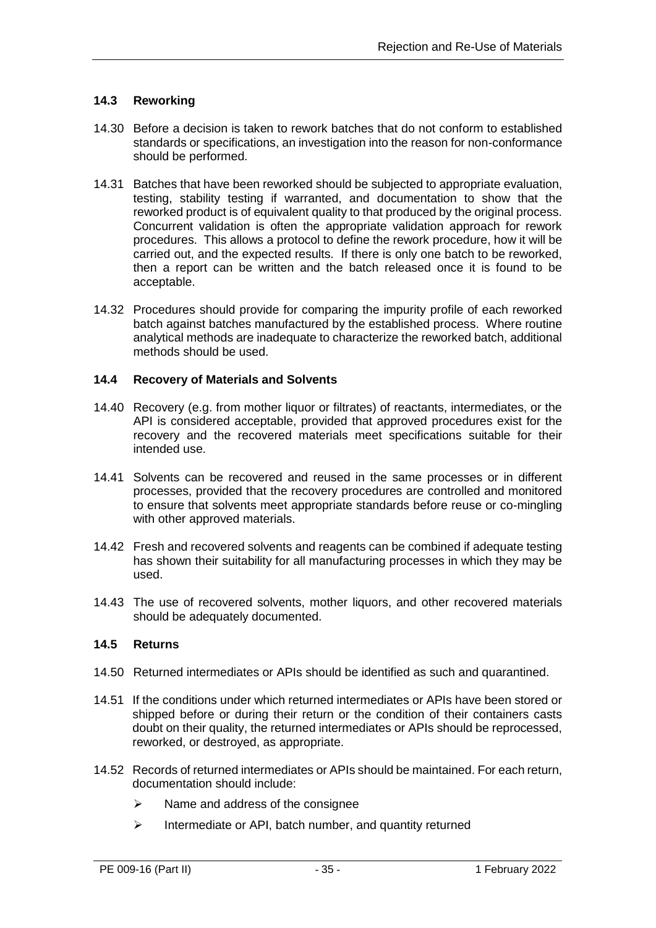# **14.3 Reworking**

- 14.30 Before a decision is taken to rework batches that do not conform to established standards or specifications, an investigation into the reason for non-conformance should be performed.
- 14.31 Batches that have been reworked should be subjected to appropriate evaluation, testing, stability testing if warranted, and documentation to show that the reworked product is of equivalent quality to that produced by the original process. Concurrent validation is often the appropriate validation approach for rework procedures. This allows a protocol to define the rework procedure, how it will be carried out, and the expected results. If there is only one batch to be reworked, then a report can be written and the batch released once it is found to be acceptable.
- 14.32 Procedures should provide for comparing the impurity profile of each reworked batch against batches manufactured by the established process. Where routine analytical methods are inadequate to characterize the reworked batch, additional methods should be used.

#### <span id="page-39-0"></span>**14.4 Recovery of Materials and Solvents**

- 14.40 Recovery (e.g. from mother liquor or filtrates) of reactants, intermediates, or the API is considered acceptable, provided that approved procedures exist for the recovery and the recovered materials meet specifications suitable for their intended use.
- 14.41 Solvents can be recovered and reused in the same processes or in different processes, provided that the recovery procedures are controlled and monitored to ensure that solvents meet appropriate standards before reuse or co-mingling with other approved materials.
- 14.42 Fresh and recovered solvents and reagents can be combined if adequate testing has shown their suitability for all manufacturing processes in which they may be used.
- 14.43 The use of recovered solvents, mother liquors, and other recovered materials should be adequately documented.

# <span id="page-39-1"></span>**14.5 Returns**

- 14.50 Returned intermediates or APIs should be identified as such and quarantined.
- 14.51 If the conditions under which returned intermediates or APIs have been stored or shipped before or during their return or the condition of their containers casts doubt on their quality, the returned intermediates or APIs should be reprocessed, reworked, or destroyed, as appropriate.
- 14.52 Records of returned intermediates or APIs should be maintained. For each return, documentation should include:
	- $\triangleright$  Name and address of the consignee
	- $\triangleright$  Intermediate or API, batch number, and quantity returned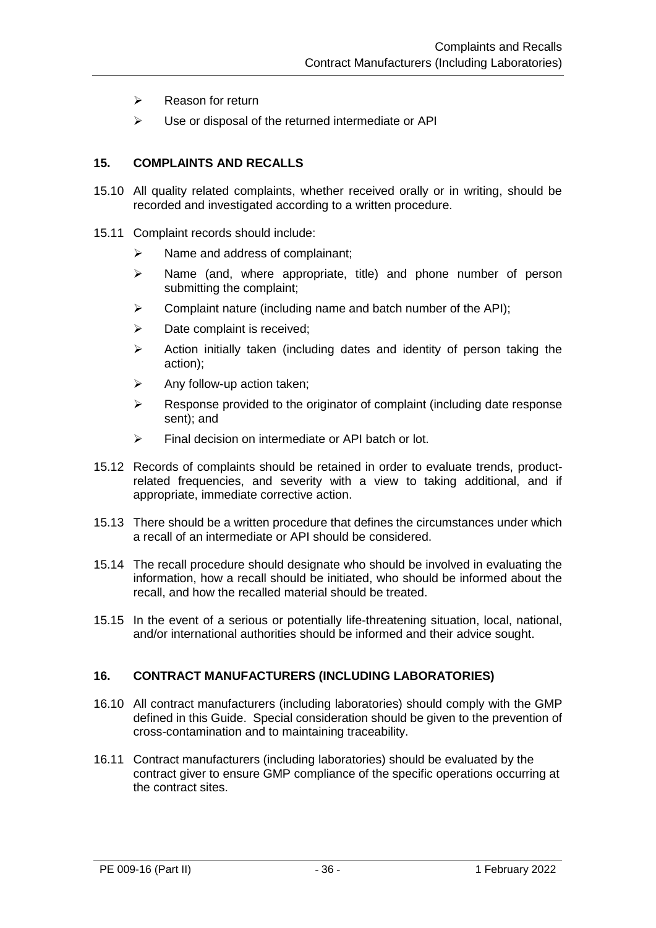- $\triangleright$  Reason for return
- $\triangleright$  Use or disposal of the returned intermediate or API

#### <span id="page-40-0"></span>**15. COMPLAINTS AND RECALLS**

- 15.10 All quality related complaints, whether received orally or in writing, should be recorded and investigated according to a written procedure.
- 15.11 Complaint records should include:
	- $\triangleright$  Name and address of complainant;
	- $\triangleright$  Name (and, where appropriate, title) and phone number of person submitting the complaint;
	- $\triangleright$  Complaint nature (including name and batch number of the API);
	- $\triangleright$  Date complaint is received;
	- $\triangleright$  Action initially taken (including dates and identity of person taking the action);
	- $\triangleright$  Any follow-up action taken;
	- $\triangleright$  Response provided to the originator of complaint (including date response sent); and
	- $\triangleright$  Final decision on intermediate or API batch or lot.
- 15.12 Records of complaints should be retained in order to evaluate trends, productrelated frequencies, and severity with a view to taking additional, and if appropriate, immediate corrective action.
- 15.13 There should be a written procedure that defines the circumstances under which a recall of an intermediate or API should be considered.
- 15.14 The recall procedure should designate who should be involved in evaluating the information, how a recall should be initiated, who should be informed about the recall, and how the recalled material should be treated.
- 15.15 In the event of a serious or potentially life-threatening situation, local, national, and/or international authorities should be informed and their advice sought.

# <span id="page-40-1"></span>**16. CONTRACT MANUFACTURERS (INCLUDING LABORATORIES)**

- 16.10 All contract manufacturers (including laboratories) should comply with the GMP defined in this Guide. Special consideration should be given to the prevention of cross-contamination and to maintaining traceability.
- 16.11 Contract manufacturers (including laboratories) should be evaluated by the contract giver to ensure GMP compliance of the specific operations occurring at the contract sites.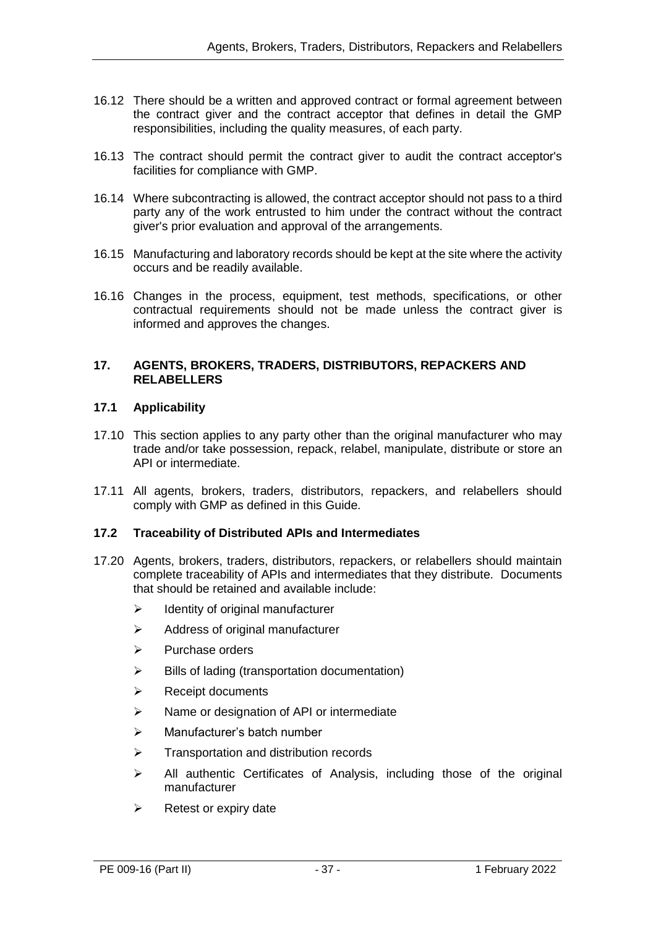- 16.12 There should be a written and approved contract or formal agreement between the contract giver and the contract acceptor that defines in detail the GMP responsibilities, including the quality measures, of each party.
- 16.13 The contract should permit the contract giver to audit the contract acceptor's facilities for compliance with GMP.
- 16.14 Where subcontracting is allowed, the contract acceptor should not pass to a third party any of the work entrusted to him under the contract without the contract giver's prior evaluation and approval of the arrangements.
- 16.15 Manufacturing and laboratory records should be kept at the site where the activity occurs and be readily available.
- 16.16 Changes in the process, equipment, test methods, specifications, or other contractual requirements should not be made unless the contract giver is informed and approves the changes.

#### <span id="page-41-0"></span>**17. AGENTS, BROKERS, TRADERS, DISTRIBUTORS, REPACKERS AND RELABELLERS**

#### <span id="page-41-1"></span>**17.1 Applicability**

- 17.10 This section applies to any party other than the original manufacturer who may trade and/or take possession, repack, relabel, manipulate, distribute or store an API or intermediate.
- 17.11 All agents, brokers, traders, distributors, repackers, and relabellers should comply with GMP as defined in this Guide.

#### <span id="page-41-2"></span>**17.2 Traceability of Distributed APIs and Intermediates**

- 17.20 Agents, brokers, traders, distributors, repackers, or relabellers should maintain complete traceability of APIs and intermediates that they distribute. Documents that should be retained and available include:
	- $\triangleright$  Identity of original manufacturer
	- $\triangleright$  Address of original manufacturer
	- $\triangleright$  Purchase orders
	- $\triangleright$  Bills of lading (transportation documentation)
	- $\triangleright$  Receipt documents
	- $\triangleright$  Name or designation of API or intermediate
	- $\triangleright$  Manufacturer's batch number
	- $\triangleright$  Transportation and distribution records
	- $\triangleright$  All authentic Certificates of Analysis, including those of the original manufacturer
	- $\triangleright$  Retest or expiry date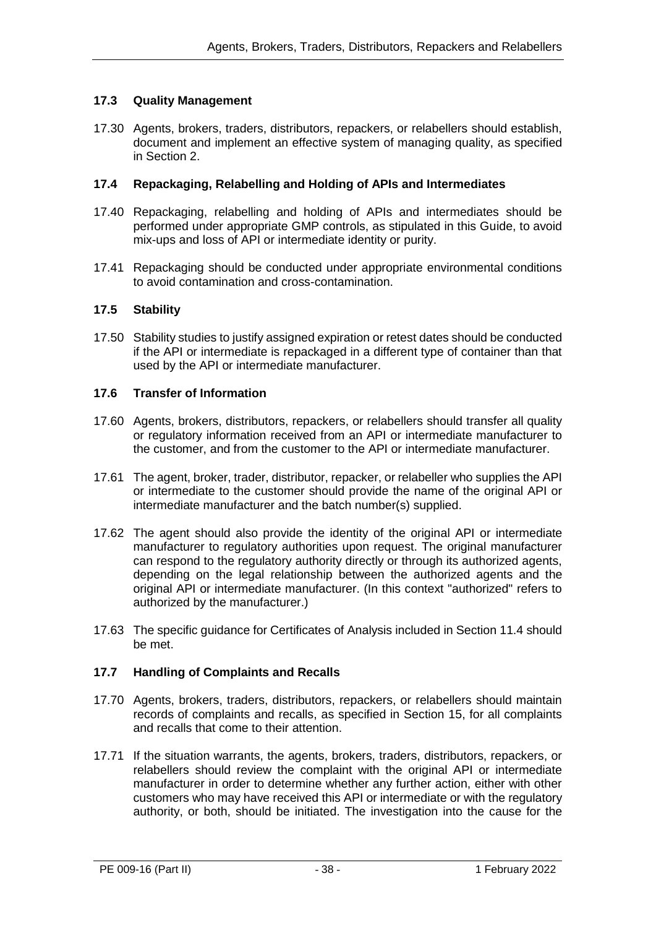# <span id="page-42-0"></span>**17.3 Quality Management**

17.30 Agents, brokers, traders, distributors, repackers, or relabellers should establish, document and implement an effective system of managing quality, as specified in Section 2.

#### <span id="page-42-1"></span>**17.4 Repackaging, Relabelling and Holding of APIs and Intermediates**

- 17.40 Repackaging, relabelling and holding of APIs and intermediates should be performed under appropriate GMP controls, as stipulated in this Guide, to avoid mix-ups and loss of API or intermediate identity or purity.
- 17.41 Repackaging should be conducted under appropriate environmental conditions to avoid contamination and cross-contamination.

#### <span id="page-42-2"></span>**17.5 Stability**

17.50 Stability studies to justify assigned expiration or retest dates should be conducted if the API or intermediate is repackaged in a different type of container than that used by the API or intermediate manufacturer.

#### <span id="page-42-3"></span>**17.6 Transfer of Information**

- 17.60 Agents, brokers, distributors, repackers, or relabellers should transfer all quality or regulatory information received from an API or intermediate manufacturer to the customer, and from the customer to the API or intermediate manufacturer.
- 17.61 The agent, broker, trader, distributor, repacker, or relabeller who supplies the API or intermediate to the customer should provide the name of the original API or intermediate manufacturer and the batch number(s) supplied.
- 17.62 The agent should also provide the identity of the original API or intermediate manufacturer to regulatory authorities upon request. The original manufacturer can respond to the regulatory authority directly or through its authorized agents, depending on the legal relationship between the authorized agents and the original API or intermediate manufacturer. (In this context "authorized" refers to authorized by the manufacturer.)
- 17.63 The specific guidance for Certificates of Analysis included in Section 11.4 should be met.

# <span id="page-42-4"></span>**17.7 Handling of Complaints and Recalls**

- 17.70 Agents, brokers, traders, distributors, repackers, or relabellers should maintain records of complaints and recalls, as specified in Section 15, for all complaints and recalls that come to their attention.
- 17.71 If the situation warrants, the agents, brokers, traders, distributors, repackers, or relabellers should review the complaint with the original API or intermediate manufacturer in order to determine whether any further action, either with other customers who may have received this API or intermediate or with the regulatory authority, or both, should be initiated. The investigation into the cause for the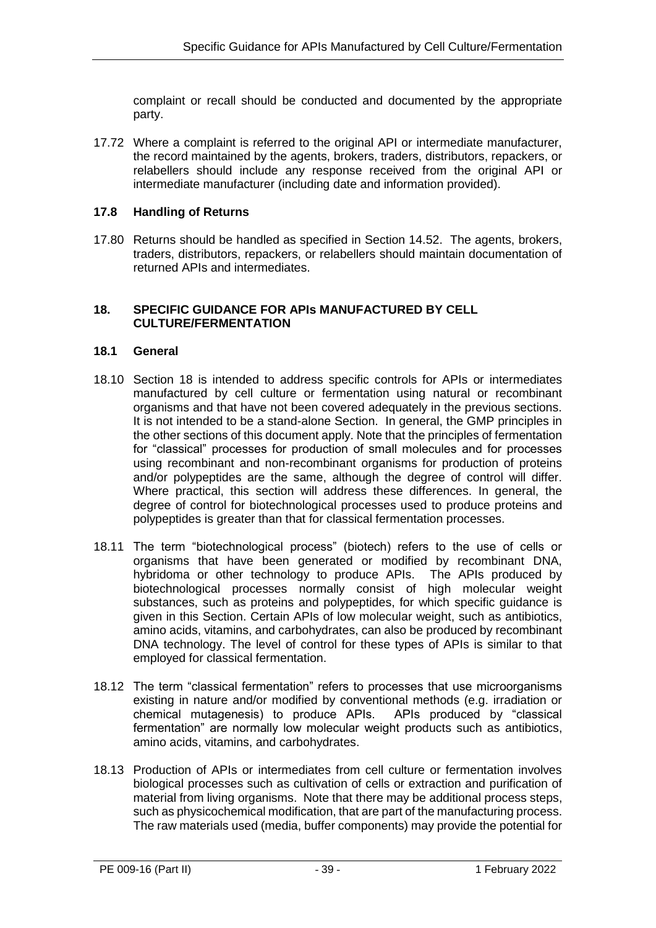complaint or recall should be conducted and documented by the appropriate party.

17.72 Where a complaint is referred to the original API or intermediate manufacturer, the record maintained by the agents, brokers, traders, distributors, repackers, or relabellers should include any response received from the original API or intermediate manufacturer (including date and information provided).

# <span id="page-43-0"></span>**17.8 Handling of Returns**

17.80 Returns should be handled as specified in Section 14.52. The agents, brokers, traders, distributors, repackers, or relabellers should maintain documentation of returned APIs and intermediates.

#### <span id="page-43-1"></span>**18. SPECIFIC GUIDANCE FOR APIs MANUFACTURED BY CELL CULTURE/FERMENTATION**

# <span id="page-43-2"></span>**18.1 General**

- 18.10 Section 18 is intended to address specific controls for APIs or intermediates manufactured by cell culture or fermentation using natural or recombinant organisms and that have not been covered adequately in the previous sections. It is not intended to be a stand-alone Section. In general, the GMP principles in the other sections of this document apply. Note that the principles of fermentation for "classical" processes for production of small molecules and for processes using recombinant and non-recombinant organisms for production of proteins and/or polypeptides are the same, although the degree of control will differ. Where practical, this section will address these differences. In general, the degree of control for biotechnological processes used to produce proteins and polypeptides is greater than that for classical fermentation processes.
- 18.11 The term "biotechnological process" (biotech) refers to the use of cells or organisms that have been generated or modified by recombinant DNA, hybridoma or other technology to produce APIs. The APIs produced by biotechnological processes normally consist of high molecular weight substances, such as proteins and polypeptides, for which specific guidance is given in this Section. Certain APIs of low molecular weight, such as antibiotics, amino acids, vitamins, and carbohydrates, can also be produced by recombinant DNA technology. The level of control for these types of APIs is similar to that employed for classical fermentation.
- 18.12 The term "classical fermentation" refers to processes that use microorganisms existing in nature and/or modified by conventional methods (e.g. irradiation or chemical mutagenesis) to produce APIs. APIs produced by "classical fermentation" are normally low molecular weight products such as antibiotics, amino acids, vitamins, and carbohydrates.
- 18.13 Production of APIs or intermediates from cell culture or fermentation involves biological processes such as cultivation of cells or extraction and purification of material from living organisms. Note that there may be additional process steps, such as physicochemical modification, that are part of the manufacturing process. The raw materials used (media, buffer components) may provide the potential for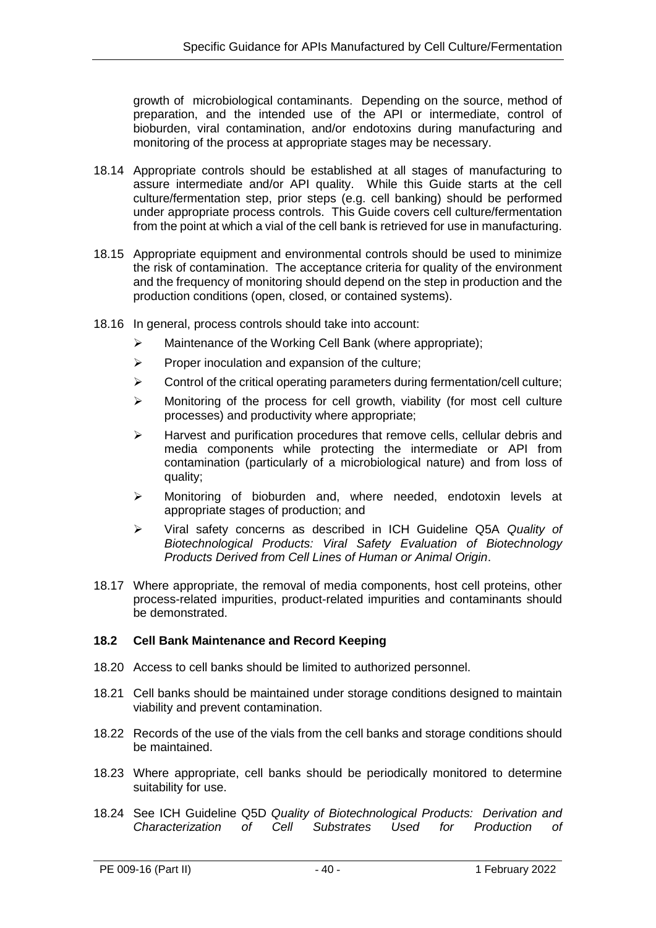growth of microbiological contaminants. Depending on the source, method of preparation, and the intended use of the API or intermediate, control of bioburden, viral contamination, and/or endotoxins during manufacturing and monitoring of the process at appropriate stages may be necessary.

- 18.14 Appropriate controls should be established at all stages of manufacturing to assure intermediate and/or API quality. While this Guide starts at the cell culture/fermentation step, prior steps (e.g. cell banking) should be performed under appropriate process controls. This Guide covers cell culture/fermentation from the point at which a vial of the cell bank is retrieved for use in manufacturing.
- 18.15 Appropriate equipment and environmental controls should be used to minimize the risk of contamination. The acceptance criteria for quality of the environment and the frequency of monitoring should depend on the step in production and the production conditions (open, closed, or contained systems).
- 18.16 In general, process controls should take into account:
	- $\triangleright$  Maintenance of the Working Cell Bank (where appropriate);
	- $\triangleright$  Proper inoculation and expansion of the culture;
	- $\triangleright$  Control of the critical operating parameters during fermentation/cell culture;
	- $\triangleright$  Monitoring of the process for cell growth, viability (for most cell culture processes) and productivity where appropriate;
	- $\triangleright$  Harvest and purification procedures that remove cells, cellular debris and media components while protecting the intermediate or API from contamination (particularly of a microbiological nature) and from loss of quality;
	- Monitoring of bioburden and, where needed, endotoxin levels at appropriate stages of production; and
	- Viral safety concerns as described in ICH Guideline Q5A *Quality of Biotechnological Products: Viral Safety Evaluation of Biotechnology Products Derived from Cell Lines of Human or Animal Origin*.
- 18.17 Where appropriate, the removal of media components, host cell proteins, other process-related impurities, product-related impurities and contaminants should be demonstrated.

# <span id="page-44-0"></span>**18.2 Cell Bank Maintenance and Record Keeping**

- 18.20 Access to cell banks should be limited to authorized personnel.
- 18.21 Cell banks should be maintained under storage conditions designed to maintain viability and prevent contamination.
- 18.22 Records of the use of the vials from the cell banks and storage conditions should be maintained.
- 18.23 Where appropriate, cell banks should be periodically monitored to determine suitability for use.
- 18.24 See ICH Guideline Q5D *Quality of Biotechnological Products: Derivation and Characterization of Cell Substrates Used for Production of*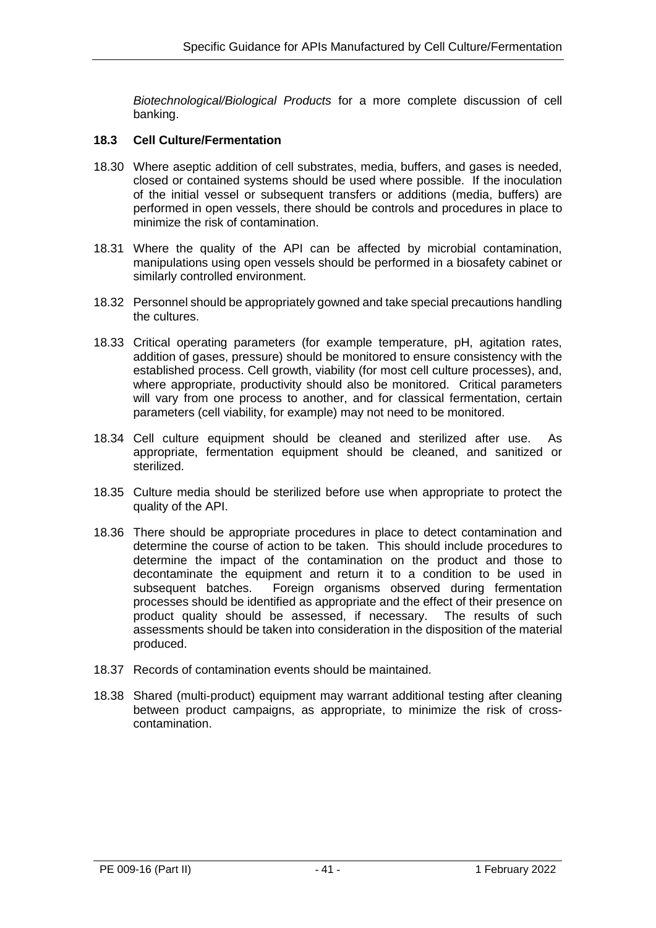*Biotechnological/Biological Products* for a more complete discussion of cell banking.

# <span id="page-45-0"></span>**18.3 Cell Culture/Fermentation**

- 18.30 Where aseptic addition of cell substrates, media, buffers, and gases is needed, closed or contained systems should be used where possible. If the inoculation of the initial vessel or subsequent transfers or additions (media, buffers) are performed in open vessels, there should be controls and procedures in place to minimize the risk of contamination.
- 18.31 Where the quality of the API can be affected by microbial contamination, manipulations using open vessels should be performed in a biosafety cabinet or similarly controlled environment.
- 18.32 Personnel should be appropriately gowned and take special precautions handling the cultures.
- 18.33 Critical operating parameters (for example temperature, pH, agitation rates, addition of gases, pressure) should be monitored to ensure consistency with the established process. Cell growth, viability (for most cell culture processes), and, where appropriate, productivity should also be monitored. Critical parameters will vary from one process to another, and for classical fermentation, certain parameters (cell viability, for example) may not need to be monitored.
- 18.34 Cell culture equipment should be cleaned and sterilized after use. As appropriate, fermentation equipment should be cleaned, and sanitized or sterilized.
- 18.35 Culture media should be sterilized before use when appropriate to protect the quality of the API.
- 18.36 There should be appropriate procedures in place to detect contamination and determine the course of action to be taken. This should include procedures to determine the impact of the contamination on the product and those to decontaminate the equipment and return it to a condition to be used in subsequent batches. Foreign organisms observed during fermentation processes should be identified as appropriate and the effect of their presence on product quality should be assessed, if necessary. The results of such assessments should be taken into consideration in the disposition of the material produced.
- 18.37 Records of contamination events should be maintained.
- <span id="page-45-1"></span>18.38 Shared (multi-product) equipment may warrant additional testing after cleaning between product campaigns, as appropriate, to minimize the risk of crosscontamination.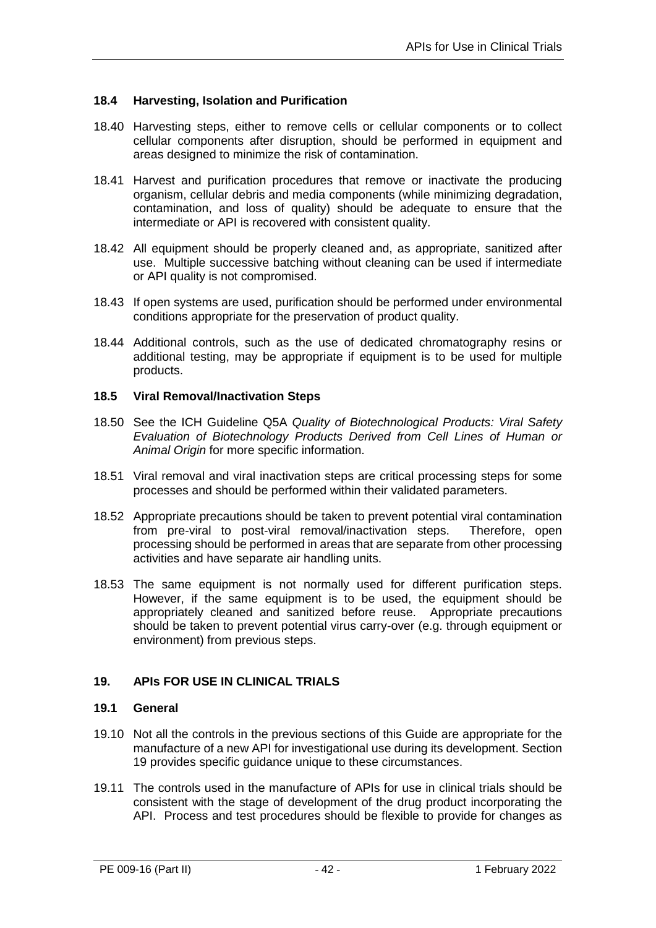# **18.4 Harvesting, Isolation and Purification**

- 18.40 Harvesting steps, either to remove cells or cellular components or to collect cellular components after disruption, should be performed in equipment and areas designed to minimize the risk of contamination.
- 18.41 Harvest and purification procedures that remove or inactivate the producing organism, cellular debris and media components (while minimizing degradation, contamination, and loss of quality) should be adequate to ensure that the intermediate or API is recovered with consistent quality.
- 18.42 All equipment should be properly cleaned and, as appropriate, sanitized after use. Multiple successive batching without cleaning can be used if intermediate or API quality is not compromised.
- 18.43 If open systems are used, purification should be performed under environmental conditions appropriate for the preservation of product quality.
- 18.44 Additional controls, such as the use of dedicated chromatography resins or additional testing, may be appropriate if equipment is to be used for multiple products.

#### <span id="page-46-0"></span>**18.5 Viral Removal/Inactivation Steps**

- 18.50 See the ICH Guideline Q5A *Quality of Biotechnological Products: Viral Safety Evaluation of Biotechnology Products Derived from Cell Lines of Human or Animal Origin* for more specific information.
- 18.51 Viral removal and viral inactivation steps are critical processing steps for some processes and should be performed within their validated parameters.
- 18.52 Appropriate precautions should be taken to prevent potential viral contamination from pre-viral to post-viral removal/inactivation steps. Therefore, open processing should be performed in areas that are separate from other processing activities and have separate air handling units.
- 18.53 The same equipment is not normally used for different purification steps. However, if the same equipment is to be used, the equipment should be appropriately cleaned and sanitized before reuse. Appropriate precautions should be taken to prevent potential virus carry-over (e.g. through equipment or environment) from previous steps.

# <span id="page-46-1"></span>**19. APIs FOR USE IN CLINICAL TRIALS**

#### <span id="page-46-2"></span>**19.1 General**

- 19.10 Not all the controls in the previous sections of this Guide are appropriate for the manufacture of a new API for investigational use during its development. Section 19 provides specific guidance unique to these circumstances.
- 19.11 The controls used in the manufacture of APIs for use in clinical trials should be consistent with the stage of development of the drug product incorporating the API. Process and test procedures should be flexible to provide for changes as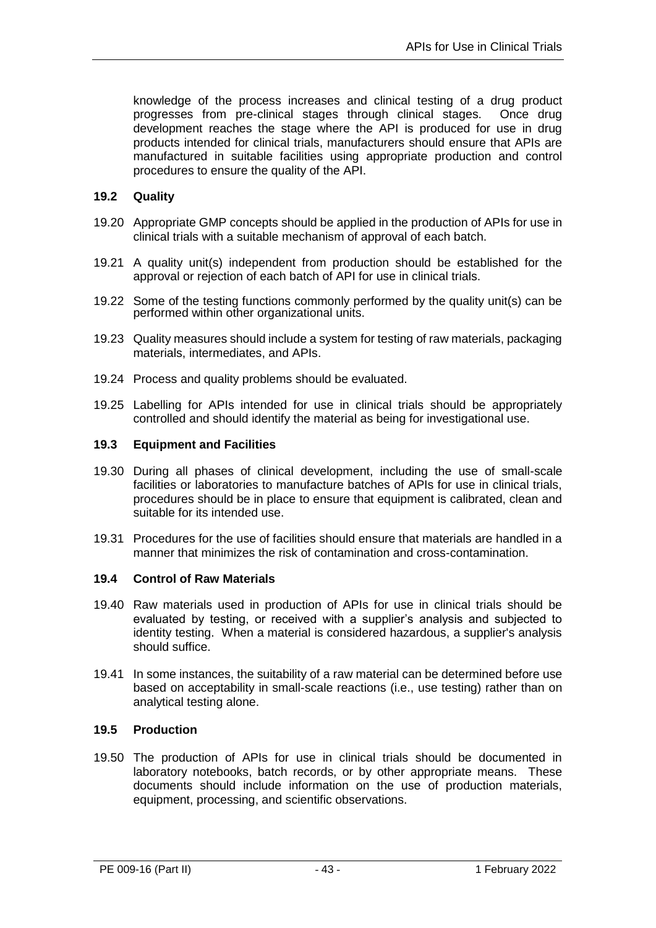knowledge of the process increases and clinical testing of a drug product progresses from pre-clinical stages through clinical stages. Once drug development reaches the stage where the API is produced for use in drug products intended for clinical trials, manufacturers should ensure that APIs are manufactured in suitable facilities using appropriate production and control procedures to ensure the quality of the API.

# <span id="page-47-0"></span>**19.2 Quality**

- 19.20 Appropriate GMP concepts should be applied in the production of APIs for use in clinical trials with a suitable mechanism of approval of each batch.
- 19.21 A quality unit(s) independent from production should be established for the approval or rejection of each batch of API for use in clinical trials.
- 19.22 Some of the testing functions commonly performed by the quality unit(s) can be performed within other organizational units.
- 19.23 Quality measures should include a system for testing of raw materials, packaging materials, intermediates, and APIs.
- 19.24 Process and quality problems should be evaluated.
- 19.25 Labelling for APIs intended for use in clinical trials should be appropriately controlled and should identify the material as being for investigational use.

#### <span id="page-47-1"></span>**19.3 Equipment and Facilities**

- 19.30 During all phases of clinical development, including the use of small-scale facilities or laboratories to manufacture batches of APIs for use in clinical trials, procedures should be in place to ensure that equipment is calibrated, clean and suitable for its intended use.
- 19.31 Procedures for the use of facilities should ensure that materials are handled in a manner that minimizes the risk of contamination and cross-contamination.

#### <span id="page-47-2"></span>**19.4 Control of Raw Materials**

- 19.40 Raw materials used in production of APIs for use in clinical trials should be evaluated by testing, or received with a supplier's analysis and subjected to identity testing. When a material is considered hazardous, a supplier's analysis should suffice.
- 19.41 In some instances, the suitability of a raw material can be determined before use based on acceptability in small-scale reactions (i.e., use testing) rather than on analytical testing alone.

#### <span id="page-47-3"></span>**19.5 Production**

19.50 The production of APIs for use in clinical trials should be documented in laboratory notebooks, batch records, or by other appropriate means. These documents should include information on the use of production materials, equipment, processing, and scientific observations.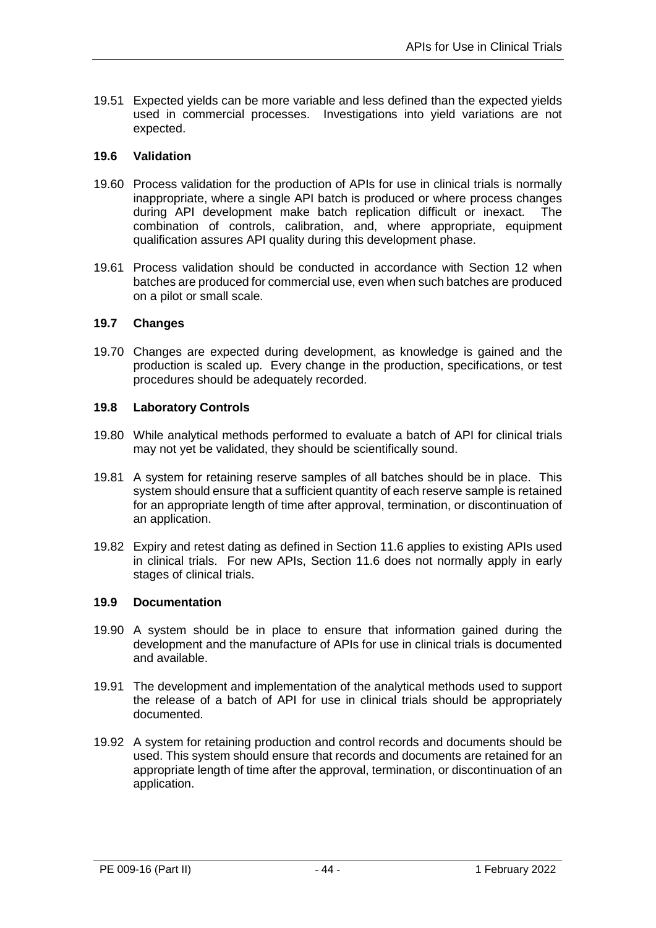19.51 Expected yields can be more variable and less defined than the expected yields used in commercial processes. Investigations into yield variations are not expected.

#### <span id="page-48-0"></span>**19.6 Validation**

- 19.60 Process validation for the production of APIs for use in clinical trials is normally inappropriate, where a single API batch is produced or where process changes during API development make batch replication difficult or inexact. The combination of controls, calibration, and, where appropriate, equipment qualification assures API quality during this development phase.
- 19.61 Process validation should be conducted in accordance with Section 12 when batches are produced for commercial use, even when such batches are produced on a pilot or small scale.

#### <span id="page-48-1"></span>**19.7 Changes**

19.70 Changes are expected during development, as knowledge is gained and the production is scaled up. Every change in the production, specifications, or test procedures should be adequately recorded.

#### <span id="page-48-2"></span>**19.8 Laboratory Controls**

- 19.80 While analytical methods performed to evaluate a batch of API for clinical trials may not yet be validated, they should be scientifically sound.
- 19.81 A system for retaining reserve samples of all batches should be in place. This system should ensure that a sufficient quantity of each reserve sample is retained for an appropriate length of time after approval, termination, or discontinuation of an application.
- 19.82 Expiry and retest dating as defined in Section 11.6 applies to existing APIs used in clinical trials. For new APIs, Section 11.6 does not normally apply in early stages of clinical trials.

#### <span id="page-48-3"></span>**19.9 Documentation**

- 19.90 A system should be in place to ensure that information gained during the development and the manufacture of APIs for use in clinical trials is documented and available.
- 19.91 The development and implementation of the analytical methods used to support the release of a batch of API for use in clinical trials should be appropriately documented.
- 19.92 A system for retaining production and control records and documents should be used. This system should ensure that records and documents are retained for an appropriate length of time after the approval, termination, or discontinuation of an application.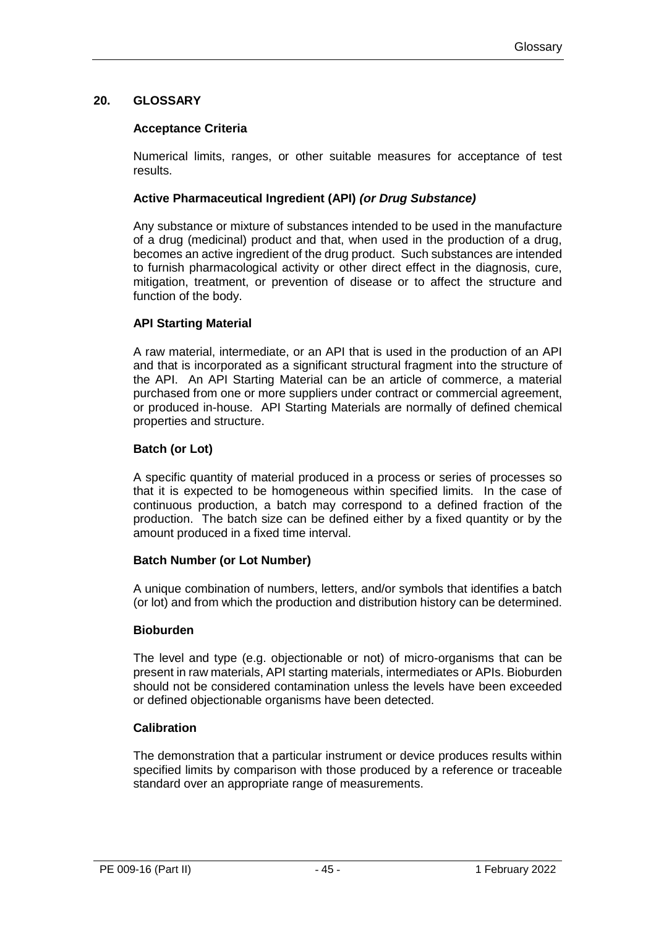# <span id="page-49-0"></span>**20. GLOSSARY**

# **Acceptance Criteria**

Numerical limits, ranges, or other suitable measures for acceptance of test results.

#### **Active Pharmaceutical Ingredient (API)** *(or Drug Substance)*

Any substance or mixture of substances intended to be used in the manufacture of a drug (medicinal) product and that, when used in the production of a drug, becomes an active ingredient of the drug product. Such substances are intended to furnish pharmacological activity or other direct effect in the diagnosis, cure, mitigation, treatment, or prevention of disease or to affect the structure and function of the body.

#### **API Starting Material**

A raw material, intermediate, or an API that is used in the production of an API and that is incorporated as a significant structural fragment into the structure of the API. An API Starting Material can be an article of commerce, a material purchased from one or more suppliers under contract or commercial agreement, or produced in-house. API Starting Materials are normally of defined chemical properties and structure.

#### **Batch (or Lot)**

A specific quantity of material produced in a process or series of processes so that it is expected to be homogeneous within specified limits. In the case of continuous production, a batch may correspond to a defined fraction of the production. The batch size can be defined either by a fixed quantity or by the amount produced in a fixed time interval.

#### **Batch Number (or Lot Number)**

A unique combination of numbers, letters, and/or symbols that identifies a batch (or lot) and from which the production and distribution history can be determined.

#### **Bioburden**

The level and type (e.g. objectionable or not) of micro-organisms that can be present in raw materials, API starting materials, intermediates or APIs. Bioburden should not be considered contamination unless the levels have been exceeded or defined objectionable organisms have been detected.

#### **Calibration**

The demonstration that a particular instrument or device produces results within specified limits by comparison with those produced by a reference or traceable standard over an appropriate range of measurements.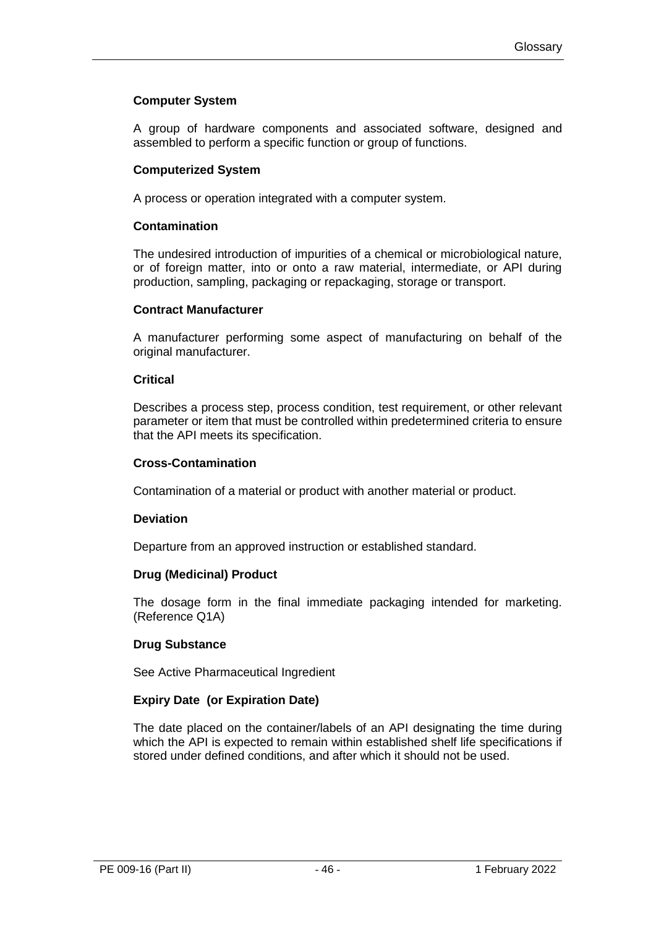# **Computer System**

A group of hardware components and associated software, designed and assembled to perform a specific function or group of functions.

#### **Computerized System**

A process or operation integrated with a computer system.

#### **Contamination**

The undesired introduction of impurities of a chemical or microbiological nature, or of foreign matter, into or onto a raw material, intermediate, or API during production, sampling, packaging or repackaging, storage or transport.

#### **Contract Manufacturer**

A manufacturer performing some aspect of manufacturing on behalf of the original manufacturer.

#### **Critical**

Describes a process step, process condition, test requirement, or other relevant parameter or item that must be controlled within predetermined criteria to ensure that the API meets its specification.

#### **Cross-Contamination**

Contamination of a material or product with another material or product.

#### **Deviation**

Departure from an approved instruction or established standard.

#### **Drug (Medicinal) Product**

The dosage form in the final immediate packaging intended for marketing. (Reference Q1A)

#### **Drug Substance**

See Active Pharmaceutical Ingredient

# **Expiry Date (or Expiration Date)**

The date placed on the container/labels of an API designating the time during which the API is expected to remain within established shelf life specifications if stored under defined conditions, and after which it should not be used.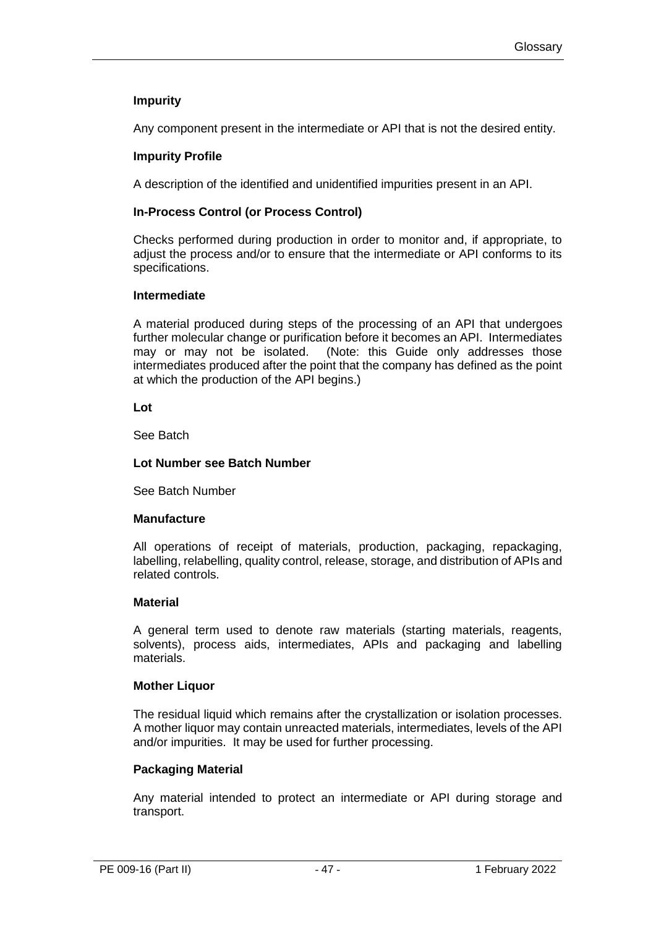# **Impurity**

Any component present in the intermediate or API that is not the desired entity.

#### **Impurity Profile**

A description of the identified and unidentified impurities present in an API.

#### **In-Process Control (or Process Control)**

Checks performed during production in order to monitor and, if appropriate, to adjust the process and/or to ensure that the intermediate or API conforms to its specifications.

#### **Intermediate**

A material produced during steps of the processing of an API that undergoes further molecular change or purification before it becomes an API. Intermediates may or may not be isolated. (Note: this Guide only addresses those intermediates produced after the point that the company has defined as the point at which the production of the API begins.)

**Lot**

See Batch

#### **Lot Number see Batch Number**

See Batch Number

#### **Manufacture**

All operations of receipt of materials, production, packaging, repackaging, labelling, relabelling, quality control, release, storage, and distribution of APIs and related controls.

#### **Material**

A general term used to denote raw materials (starting materials, reagents, solvents), process aids, intermediates, APIs and packaging and labelling materials.

#### **Mother Liquor**

The residual liquid which remains after the crystallization or isolation processes. A mother liquor may contain unreacted materials, intermediates, levels of the API and/or impurities. It may be used for further processing.

#### **Packaging Material**

Any material intended to protect an intermediate or API during storage and transport.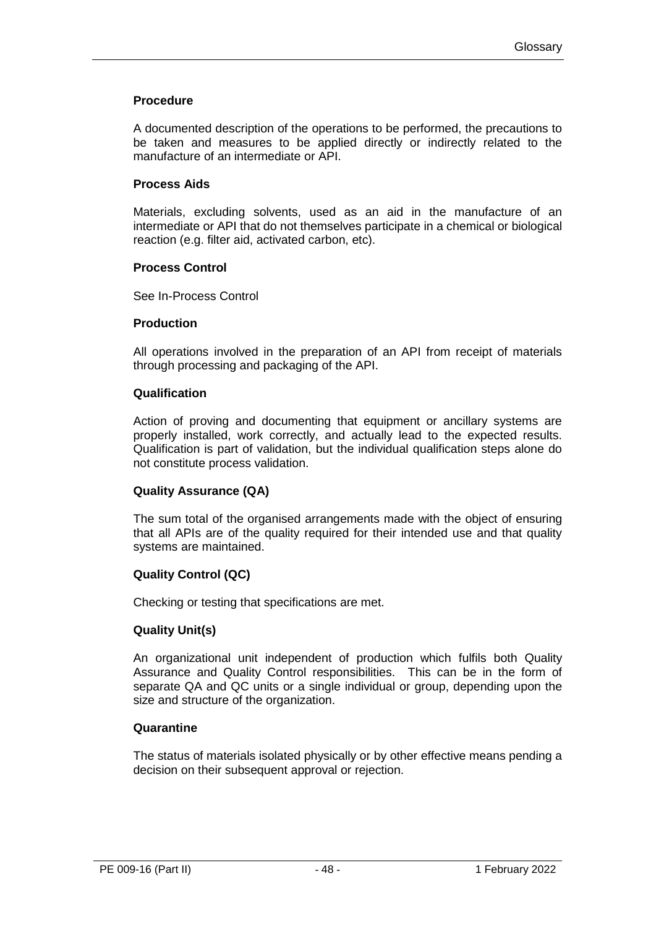#### **Procedure**

A documented description of the operations to be performed, the precautions to be taken and measures to be applied directly or indirectly related to the manufacture of an intermediate or API.

#### **Process Aids**

Materials, excluding solvents, used as an aid in the manufacture of an intermediate or API that do not themselves participate in a chemical or biological reaction (e.g. filter aid, activated carbon, etc).

#### **Process Control**

See In-Process Control

#### **Production**

All operations involved in the preparation of an API from receipt of materials through processing and packaging of the API.

#### **Qualification**

Action of proving and documenting that equipment or ancillary systems are properly installed, work correctly, and actually lead to the expected results. Qualification is part of validation, but the individual qualification steps alone do not constitute process validation.

#### **Quality Assurance (QA)**

The sum total of the organised arrangements made with the object of ensuring that all APIs are of the quality required for their intended use and that quality systems are maintained.

#### **Quality Control (QC)**

Checking or testing that specifications are met.

#### **Quality Unit(s)**

An organizational unit independent of production which fulfils both Quality Assurance and Quality Control responsibilities. This can be in the form of separate QA and QC units or a single individual or group, depending upon the size and structure of the organization.

#### **Quarantine**

The status of materials isolated physically or by other effective means pending a decision on their subsequent approval or rejection.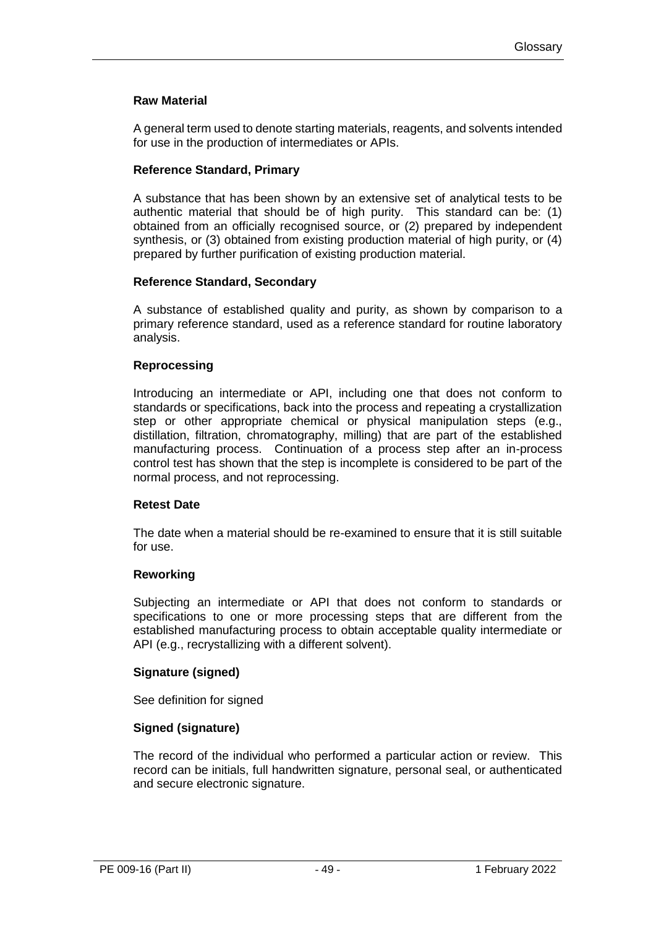# **Raw Material**

A general term used to denote starting materials, reagents, and solvents intended for use in the production of intermediates or APIs.

#### **Reference Standard, Primary**

A substance that has been shown by an extensive set of analytical tests to be authentic material that should be of high purity. This standard can be: (1) obtained from an officially recognised source, or (2) prepared by independent synthesis, or (3) obtained from existing production material of high purity, or (4) prepared by further purification of existing production material.

#### **Reference Standard, Secondary**

A substance of established quality and purity, as shown by comparison to a primary reference standard, used as a reference standard for routine laboratory analysis.

#### **Reprocessing**

Introducing an intermediate or API, including one that does not conform to standards or specifications, back into the process and repeating a crystallization step or other appropriate chemical or physical manipulation steps (e.g., distillation, filtration, chromatography, milling) that are part of the established manufacturing process. Continuation of a process step after an in-process control test has shown that the step is incomplete is considered to be part of the normal process, and not reprocessing.

#### **Retest Date**

The date when a material should be re-examined to ensure that it is still suitable for use.

#### **Reworking**

Subjecting an intermediate or API that does not conform to standards or specifications to one or more processing steps that are different from the established manufacturing process to obtain acceptable quality intermediate or API (e.g., recrystallizing with a different solvent).

#### **Signature (signed)**

See definition for signed

# **Signed (signature)**

The record of the individual who performed a particular action or review. This record can be initials, full handwritten signature, personal seal, or authenticated and secure electronic signature.